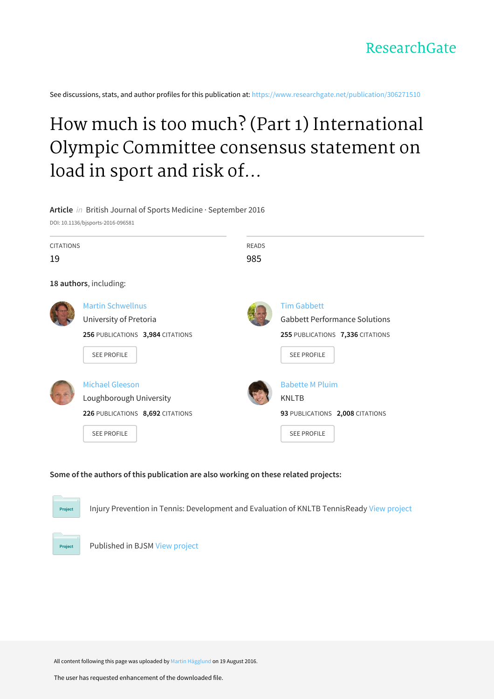See discussions, stats, and author profiles for this publication at: [https://www.researchgate.net/publication/306271510](https://www.researchgate.net/publication/306271510_How_much_is_too_much_Part_1_International_Olympic_Committee_consensus_statement_on_load_in_sport_and_risk_of_injury?enrichId=rgreq-5bf955fa5ece84c7272f1ab18237b70b-XXX&enrichSource=Y292ZXJQYWdlOzMwNjI3MTUxMDtBUzozOTY3MDc5NTIxMTk4MDhAMTQ3MTU5Mzk1NDAzMQ%3D%3D&el=1_x_2&_esc=publicationCoverPdf)

# How much is too much? (Part 1) International Olympic Committee consensus statement on load in sport and risk of...

## **Article** in British Journal of Sports Medicine · September 2016

DOI: 10.1136/bjsports-2016-096581

| <b>CITATIONS</b><br>19 |                                                                                                              | <b>READS</b><br>985 |                                                                                                                      |  |
|------------------------|--------------------------------------------------------------------------------------------------------------|---------------------|----------------------------------------------------------------------------------------------------------------------|--|
| 18 authors, including: |                                                                                                              |                     |                                                                                                                      |  |
|                        | <b>Martin Schwellnus</b><br>University of Pretoria<br>256 PUBLICATIONS 3,984 CITATIONS<br><b>SEE PROFILE</b> |                     | <b>Tim Gabbett</b><br><b>Gabbett Performance Solutions</b><br>255 PUBLICATIONS 7,336 CITATIONS<br><b>SEE PROFILE</b> |  |
|                        | <b>Michael Gleeson</b><br>Loughborough University<br>226 PUBLICATIONS 8,692 CITATIONS<br><b>SEE PROFILE</b>  |                     | <b>Babette M Pluim</b><br><b>KNLTB</b><br>93 PUBLICATIONS 2,008 CITATIONS<br><b>SEE PROFILE</b>                      |  |

## **Some of the authors of this publication are also working on these related projects:**

Injury Prevention in Tennis: Development and Evaluation of KNLTB TennisReady View [project](https://www.researchgate.net/project/Injury-Prevention-in-Tennis-Development-and-Evaluation-of-KNLTB-TennisReady?enrichId=rgreq-5bf955fa5ece84c7272f1ab18237b70b-XXX&enrichSource=Y292ZXJQYWdlOzMwNjI3MTUxMDtBUzozOTY3MDc5NTIxMTk4MDhAMTQ3MTU5Mzk1NDAzMQ%3D%3D&el=1_x_9&_esc=publicationCoverPdf)



Project

Published in BJSM View [project](https://www.researchgate.net/project/Published-in-BJSM?enrichId=rgreq-5bf955fa5ece84c7272f1ab18237b70b-XXX&enrichSource=Y292ZXJQYWdlOzMwNjI3MTUxMDtBUzozOTY3MDc5NTIxMTk4MDhAMTQ3MTU5Mzk1NDAzMQ%3D%3D&el=1_x_9&_esc=publicationCoverPdf)

All content following this page was uploaded by Martin [Hägglund](https://www.researchgate.net/profile/Martin_Haegglund?enrichId=rgreq-5bf955fa5ece84c7272f1ab18237b70b-XXX&enrichSource=Y292ZXJQYWdlOzMwNjI3MTUxMDtBUzozOTY3MDc5NTIxMTk4MDhAMTQ3MTU5Mzk1NDAzMQ%3D%3D&el=1_x_10&_esc=publicationCoverPdf) on 19 August 2016.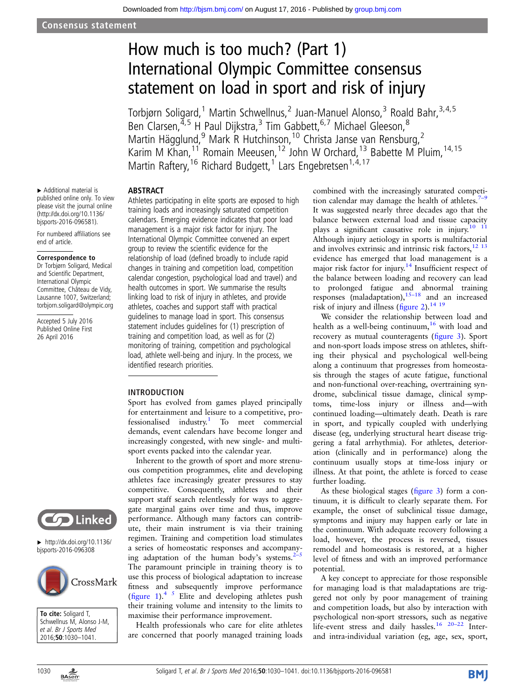## How much is too much? (Part 1) International Olympic Committee consensus statement on load in sport and risk of injury

Torbjørn Soligard,<sup>1</sup> Martin Schwellnus,<sup>2</sup> Juan-Manuel Alonso,<sup>3</sup> Roald Bahr,<sup>3,4,5</sup> Ben Clarsen,<sup>4,5</sup> H Paul Dijkstra,<sup>3</sup> Tim Gabbett,<sup>6,7</sup> Michael Gleeson,<sup>8</sup> Martin Hägglund,<sup>9</sup> Mark R Hutchinson,<sup>10</sup> Christa Janse van Rensburg,<sup>2</sup> Karim M Khan,<sup>11</sup> Romain Meeusen,<sup>12</sup> John W Orchard,<sup>13</sup> Babette M Pluim,<sup>14,15</sup> Martin Raftery, <sup>16</sup> Richard Budgett, <sup>1</sup> Lars Engebretsen<sup>1,4,17</sup>

#### ABSTRACT

▸ Additional material is published online only. To view please visit the journal online [\(http://dx.doi.org/10.1136/](http://dx.doi.org/10.1136/bjsports-2016-096581) [bjsports-2016-096581](http://dx.doi.org/10.1136/bjsports-2016-096581)).

For numbered affiliations see end of article.

#### Correspondence to

Dr Torbjørn Soligard, Medical and Scientific Department, International Olympic Committee, Château de Vidy, Lausanne 1007, Switzerland; torbjorn.soligard@olympic.org

Accepted 5 July 2016 Published Online First 26 April 2016



 $\blacktriangleright$  [http://dx.doi.org/10.1136/](http://dx.doi.org/10.1136/bjsports-2016-096308) [bjsports-2016-096308](http://dx.doi.org/10.1136/bjsports-2016-096308)



To cite: Soligard T, Schwellnus M, Alonso J-M, et al. Br J Sports Med 2016;50:1030–1041.

Athletes participating in elite sports are exposed to high training loads and increasingly saturated competition calendars. Emerging evidence indicates that poor load management is a major risk factor for injury. The International Olympic Committee convened an expert group to review the scientific evidence for the relationship of load (defined broadly to include rapid changes in training and competition load, competition calendar congestion, psychological load and travel) and health outcomes in sport. We summarise the results linking load to risk of injury in athletes, and provide athletes, coaches and support staff with practical guidelines to manage load in sport. This consensus statement includes guidelines for (1) prescription of training and competition load, as well as for (2) monitoring of training, competition and psychological load, athlete well-being and injury. In the process, we identified research priorities.

#### INTRODUCTION

Sport has evolved from games played principally for entertainment and leisure to a competitive, pro-fessionalised industry.<sup>[1](#page-9-0)</sup> To meet commercial demands, event calendars have become longer and increasingly congested, with new single- and multisport events packed into the calendar year.

Inherent to the growth of sport and more strenuous competition programmes, elite and developing athletes face increasingly greater pressures to stay competitive. Consequently, athletes and their support staff search relentlessly for ways to aggregate marginal gains over time and thus, improve performance. Although many factors can contribute, their main instrument is via their training regimen. Training and competition load stimulates a series of homeostatic responses and accompany-ing adaptation of the human body's systems.<sup>[2](#page-9-0)-</sup> The paramount principle in training theory is to use this process of biological adaptation to increase fitness and subsequently improve performance (fi[gure 1](#page-2-0)).<sup>[4 5](#page-9-0)</sup> Elite and developing athletes push their training volume and intensity to the limits to maximise their performance improvement.

Health professionals who care for elite athletes are concerned that poorly managed training loads

combined with the increasingly saturated competition calendar may damage the health of athletes. $7-9$  $7-9$ It was suggested nearly three decades ago that the balance between external load and tissue capacity plays a significant causative role in injury.<sup>10</sup> <sup>11</sup> Although injury aetiology in sports is multifactorial and involves extrinsic and intrinsic risk factors,  $12 \tcdot 13$ evidence has emerged that load management is a major risk factor for injury.<sup>[14](#page-9-0)</sup> Insufficient respect of the balance between loading and recovery can lead to prolonged fatigue and abnormal training responses (maladaptation), $15-18$  $15-18$  and an increased risk of injury and illness (fi[gure 2](#page-2-0)).<sup>[14 19](#page-9-0)</sup>

We consider the relationship between load and health as a well-being continuum,  $16$  with load and recovery as mutual counteragents (fi[gure 3](#page-3-0)). Sport and non-sport loads impose stress on athletes, shifting their physical and psychological well-being along a continuum that progresses from homeostasis through the stages of acute fatigue, functional and non-functional over-reaching, overtraining syndrome, subclinical tissue damage, clinical symptoms, time-loss injury or illness and—with continued loading—ultimately death. Death is rare in sport, and typically coupled with underlying disease (eg, underlying structural heart disease triggering a fatal arrhythmia). For athletes, deterioration (clinically and in performance) along the continuum usually stops at time-loss injury or illness. At that point, the athlete is forced to cease further loading.

As these biological stages (fi[gure 3\)](#page-3-0) form a continuum, it is difficult to clearly separate them. For example, the onset of subclinical tissue damage, symptoms and injury may happen early or late in the continuum. With adequate recovery following a load, however, the process is reversed, tissues remodel and homeostasis is restored, at a higher level of fitness and with an improved performance potential.

A key concept to appreciate for those responsible for managing load is that maladaptations are triggered not only by poor management of training and competition loads, but also by interaction with psychological non-sport stressors, such as negative life-event stress and daily hassles.<sup>16</sup> <sup>20–22</sup> Interand intra-individual variation (eg, age, sex, sport,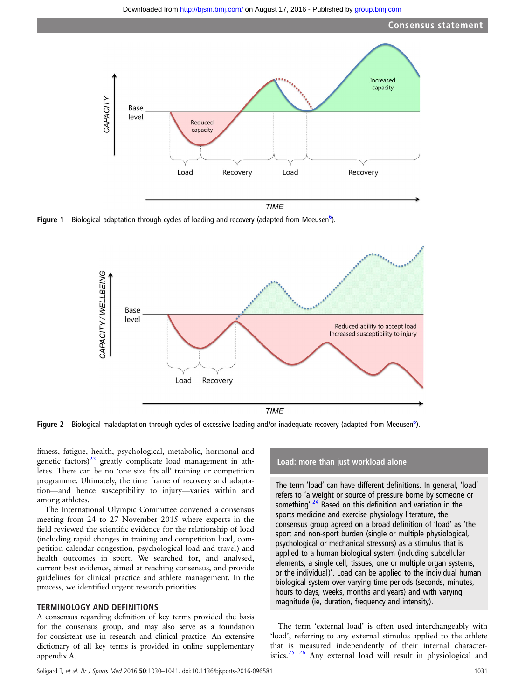<span id="page-2-0"></span>

TIME

Figure 1 Biological adaptation through cycles of loading and recovery (adapted from Meeusen<sup>[6](#page-9-0)</sup>).



Figure 2 Biological maladaptation through cycles of excessive loading and/or inadequate recovery (adapted from Meeusen<sup>6</sup>).

fitness, fatigue, health, psychological, metabolic, hormonal and genetic factors) $23$  greatly complicate load management in athletes. There can be no 'one size fits all' training or competition programme. Ultimately, the time frame of recovery and adaptation—and hence susceptibility to injury—varies within and among athletes.

The International Olympic Committee convened a consensus meeting from 24 to 27 November 2015 where experts in the field reviewed the scientific evidence for the relationship of load (including rapid changes in training and competition load, competition calendar congestion, psychological load and travel) and health outcomes in sport. We searched for, and analysed, current best evidence, aimed at reaching consensus, and provide guidelines for clinical practice and athlete management. In the process, we identified urgent research priorities.

## TERMINOLOGY AND DEFINITIONS

A consensus regarding definition of key terms provided the basis for the consensus group, and may also serve as a foundation for consistent use in research and clinical practice. An extensive dictionary of all key terms is provided in online supplementary appendix A.

#### Load: more than just workload alone

The term 'load' can have different definitions. In general, 'load' refers to 'a weight or source of pressure borne by someone or something'.<sup>[24](#page-11-0)</sup> Based on this definition and variation in the sports medicine and exercise physiology literature, the consensus group agreed on a broad definition of 'load' as 'the sport and non-sport burden (single or multiple physiological, psychological or mechanical stressors) as a stimulus that is applied to a human biological system (including subcellular elements, a single cell, tissues, one or multiple organ systems, or the individual)'. Load can be applied to the individual human biological system over varying time periods (seconds, minutes, hours to days, weeks, months and years) and with varying magnitude (ie, duration, frequency and intensity).

The term 'external load' is often used interchangeably with 'load', referring to any external stimulus applied to the athlete that is measured independently of their internal characteristics.[25 26](#page-9-0) Any external load will result in physiological and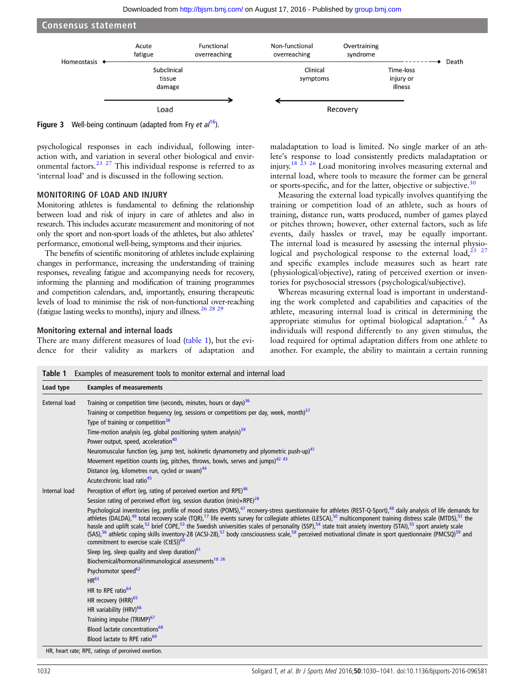Downloaded from<http://bjsm.bmj.com/>on August 17, 2016 - Published by [group.bmj.com](http://group.bmj.com)

<span id="page-3-0"></span>

Figure 3 Well-being continuum (adapted from Fry et  $a/16$ ).

psychological responses in each individual, following interaction with, and variation in several other biological and environmental factors.[23 27](#page-9-0) This individual response is referred to as 'internal load' and is discussed in the following section.

#### MONITORING OF LOAD AND INJURY

Monitoring athletes is fundamental to defining the relationship between load and risk of injury in care of athletes and also in research. This includes accurate measurement and monitoring of not only the sport and non-sport loads of the athletes, but also athletes' performance, emotional well-being, symptoms and their injuries.

The benefits of scientific monitoring of athletes include explaining changes in performance, increasing the understanding of training responses, revealing fatigue and accompanying needs for recovery, informing the planning and modification of training programmes and competition calendars, and, importantly, ensuring therapeutic levels of load to minimise the risk of non-functional over-reaching (fatigue lasting weeks to months), injury and illness[.26 28 29](#page-9-0)

#### Monitoring external and internal loads

There are many different measures of load (table 1), but the evidence for their validity as markers of adaptation and

maladaptation to load is limited. No single marker of an athlete's response to load consistently predicts maladaptation or injury.[18 23 26](#page-9-0) Load monitoring involves measuring external and internal load, where tools to measure the former can be general or sports-specific, and for the latter, objective or subjective.<sup>[30](#page-9-0)</sup>

Measuring the external load typically involves quantifying the training or competition load of an athlete, such as hours of training, distance run, watts produced, number of games played or pitches thrown; however, other external factors, such as life events, daily hassles or travel, may be equally important. The internal load is measured by assessing the internal physiological and psychological response to the external load, $23 \times 27$ and specific examples include measures such as heart rate (physiological/objective), rating of perceived exertion or inventories for psychosocial stressors (psychological/subjective).

Whereas measuring external load is important in understanding the work completed and capabilities and capacities of the athlete, measuring internal load is critical in determining the appropriate stimulus for optimal biological adaptation.<sup>2  $4$ </sup> As individuals will respond differently to any given stimulus, the load required for optimal adaptation differs from one athlete to another. For example, the ability to maintain a certain running

| Load type     | <b>Examples of measurements</b>                                                                                                                                                                                                                                                                                                                                                                                                                                                                                                                                                                                                                                                                                                                                                                                                                                                |
|---------------|--------------------------------------------------------------------------------------------------------------------------------------------------------------------------------------------------------------------------------------------------------------------------------------------------------------------------------------------------------------------------------------------------------------------------------------------------------------------------------------------------------------------------------------------------------------------------------------------------------------------------------------------------------------------------------------------------------------------------------------------------------------------------------------------------------------------------------------------------------------------------------|
| External load | Training or competition time (seconds, minutes, hours or days) <sup>36</sup>                                                                                                                                                                                                                                                                                                                                                                                                                                                                                                                                                                                                                                                                                                                                                                                                   |
|               | Training or competition frequency (eg, sessions or competitions per day, week, month) <sup>37</sup>                                                                                                                                                                                                                                                                                                                                                                                                                                                                                                                                                                                                                                                                                                                                                                            |
|               | Type of training or competition <sup>38</sup>                                                                                                                                                                                                                                                                                                                                                                                                                                                                                                                                                                                                                                                                                                                                                                                                                                  |
|               | Time-motion analysis (eg, global positioning system analysis) <sup>39</sup>                                                                                                                                                                                                                                                                                                                                                                                                                                                                                                                                                                                                                                                                                                                                                                                                    |
|               | Power output, speed, acceleration <sup>40</sup>                                                                                                                                                                                                                                                                                                                                                                                                                                                                                                                                                                                                                                                                                                                                                                                                                                |
|               | Neuromuscular function (eg, jump test, isokinetic dynamometry and plyometric push-up) <sup>41</sup>                                                                                                                                                                                                                                                                                                                                                                                                                                                                                                                                                                                                                                                                                                                                                                            |
|               | Movement repetition counts (eg, pitches, throws, bowls, serves and jumps) <sup>42 43</sup>                                                                                                                                                                                                                                                                                                                                                                                                                                                                                                                                                                                                                                                                                                                                                                                     |
|               | Distance (eq. kilometres run, cycled or swam) $44$                                                                                                                                                                                                                                                                                                                                                                                                                                                                                                                                                                                                                                                                                                                                                                                                                             |
|               | Acute: chronic load ratio <sup>45</sup>                                                                                                                                                                                                                                                                                                                                                                                                                                                                                                                                                                                                                                                                                                                                                                                                                                        |
| Internal load | Perception of effort (eq. rating of perceived exertion and RPE) <sup>46</sup>                                                                                                                                                                                                                                                                                                                                                                                                                                                                                                                                                                                                                                                                                                                                                                                                  |
|               | Session rating of perceived effort (eq. session duration (min) $\times$ RPE) <sup>28</sup>                                                                                                                                                                                                                                                                                                                                                                                                                                                                                                                                                                                                                                                                                                                                                                                     |
|               | Psychological inventories (eg, profile of mood states (POMS), $^{47}$ recovery-stress questionnaire for athletes (REST-Q-Sport), $^{48}$ daily analysis of life demands for<br>athletes (DALDA), <sup>49</sup> total recovery scale (TQR), <sup>17</sup> life events survey for collegiate athletes (LESCA), <sup>50</sup> multicomponent training distress scale (MTDS), <sup>51</sup> the<br>hassle and uplift scale, <sup>52</sup> brief COPE, <sup>53</sup> the Swedish universities scales of personality (SSP), <sup>54</sup> state trait anxiety inventory (STAI), <sup>55</sup> sport anxiety scale<br>(SAS), <sup>56</sup> athletic coping skills inventory-28 (ACSI-28), <sup>57</sup> body consciousness scale, <sup>58</sup> perceived motivational climate in sport questionnaire (PMCSQ) <sup>59</sup> and<br>commitment to exercise scale (CtES)) <sup>60</sup> |
|               | Sleep (eq, sleep quality and sleep duration) <sup>61</sup>                                                                                                                                                                                                                                                                                                                                                                                                                                                                                                                                                                                                                                                                                                                                                                                                                     |
|               | Biochemical/hormonal/immunological assessments <sup>18 26</sup>                                                                                                                                                                                                                                                                                                                                                                                                                                                                                                                                                                                                                                                                                                                                                                                                                |
|               | Psychomotor speed <sup>62</sup>                                                                                                                                                                                                                                                                                                                                                                                                                                                                                                                                                                                                                                                                                                                                                                                                                                                |
|               | HR <sup>63</sup>                                                                                                                                                                                                                                                                                                                                                                                                                                                                                                                                                                                                                                                                                                                                                                                                                                                               |
|               | HR to RPE ratio $64$                                                                                                                                                                                                                                                                                                                                                                                                                                                                                                                                                                                                                                                                                                                                                                                                                                                           |
|               | HR recovery (HRR) <sup>65</sup>                                                                                                                                                                                                                                                                                                                                                                                                                                                                                                                                                                                                                                                                                                                                                                                                                                                |
|               | HR variability (HRV) <sup>66</sup>                                                                                                                                                                                                                                                                                                                                                                                                                                                                                                                                                                                                                                                                                                                                                                                                                                             |
|               | Training impulse (TRIMP) <sup>67</sup>                                                                                                                                                                                                                                                                                                                                                                                                                                                                                                                                                                                                                                                                                                                                                                                                                                         |
|               | Blood lactate concentrations <sup>68</sup>                                                                                                                                                                                                                                                                                                                                                                                                                                                                                                                                                                                                                                                                                                                                                                                                                                     |
|               | Blood lactate to RPE ratio <sup>69</sup>                                                                                                                                                                                                                                                                                                                                                                                                                                                                                                                                                                                                                                                                                                                                                                                                                                       |

HR, heart rate; RPE, ratings of perceived exertion.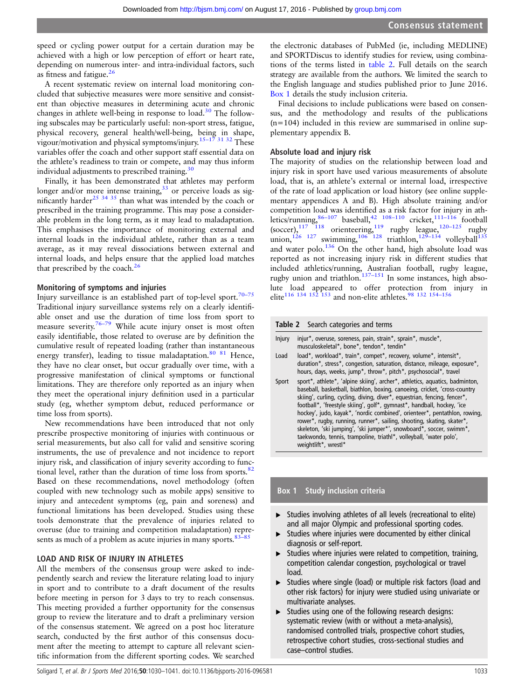speed or cycling power output for a certain duration may be achieved with a high or low perception of effort or heart rate, depending on numerous inter- and intra-individual factors, such as fitness and fatigue.<sup>26</sup>

A recent systematic review on internal load monitoring concluded that subjective measures were more sensitive and consistent than objective measures in determining acute and chronic changes in athlete well-being in response to load.<sup>[30](#page-9-0)</sup> The following subscales may be particularly useful: non-sport stress, fatigue, physical recovery, general health/well-being, being in shape, vigour/motivation and physical symptoms/injury.[15](#page-9-0)–17 [31 32](#page-9-0) These variables offer the coach and other support staff essential data on the athlete's readiness to train or compete, and may thus inform individual adjustments to prescribed training.<sup>[30](#page-9-0)</sup>

Finally, it has been demonstrated that athletes may perform longer and/or more intense training,  $33$  or perceive loads as significantly harder<sup>25 34</sup> <sup>35</sup> than what was intended by the coach or prescribed in the training programme. This may pose a considerable problem in the long term, as it may lead to maladaptation. This emphasises the importance of monitoring external and internal loads in the individual athlete, rather than as a team average, as it may reveal dissociations between external and internal loads, and helps ensure that the applied load matches that prescribed by the coach.<sup>[26](#page-9-0)</sup>

#### Monitoring of symptoms and injuries

Injury surveillance is an established part of top-level sport.<sup>70-75</sup> Traditional injury surveillance systems rely on a clearly identifiable onset and use the duration of time loss from sport to measure severity. $76-79$  $76-79$  While acute injury onset is most often easily identifiable, those related to overuse are by definition the cumulative result of repeated loading (rather than instantaneous energy transfer), leading to tissue maladaptation.<sup>80</sup> <sup>81</sup> Hence, they have no clear onset, but occur gradually over time, with a progressive manifestation of clinical symptoms or functional limitations. They are therefore only reported as an injury when they meet the operational injury definition used in a particular study (eg, whether symptom debut, reduced performance or time loss from sports).

New recommendations have been introduced that not only prescribe prospective monitoring of injuries with continuous or serial measurements, but also call for valid and sensitive scoring instruments, the use of prevalence and not incidence to report injury risk, and classification of injury severity according to functional level, rather than the duration of time loss from sports.<sup>82</sup> Based on these recommendations, novel methodology (often coupled with new technology such as mobile apps) sensitive to injury and antecedent symptoms (eg, pain and soreness) and functional limitations has been developed. Studies using these tools demonstrate that the prevalence of injuries related to overuse (due to training and competition maladaptation) represents as much of a problem as acute injuries in many sports.<sup>8</sup>

#### LOAD AND RISK OF INJURY IN ATHLETES

All the members of the consensus group were asked to independently search and review the literature relating load to injury in sport and to contribute to a draft document of the results before meeting in person for 3 days to try to reach consensus. This meeting provided a further opportunity for the consensus group to review the literature and to draft a preliminary version of the consensus statement. We agreed on a post hoc literature search, conducted by the first author of this consensus document after the meeting to attempt to capture all relevant scientific information from the different sporting codes. We searched

the electronic databases of PubMed (ie, including MEDLINE) and SPORTDiscus to identify studies for review, using combinations of the terms listed in table 2. Full details on the search strategy are available from the authors. We limited the search to the English language and studies published prior to June 2016. Box 1 details the study inclusion criteria.

Final decisions to include publications were based on consensus, and the methodology and results of the publications  $(n=104)$  included in this review are summarised in online supplementary appendix B.

#### Absolute load and injury risk

The majority of studies on the relationship between load and injury risk in sport have used various measurements of absolute load, that is, an athlete's external or internal load, irrespective of the rate of load application or load history (see online supplementary appendices A and B). High absolute training and/or competition load was identified as a risk factor for injury in athletics/running,  $86-107$  $86-107$  baseball,  $42 \frac{108-110}{108}$  $42 \frac{108-110}{108}$  cricket,  $111-116$  $111-116$  football (soccer),<sup>[117 118](#page-11-0)</sup> orienteering,<sup>119</sup> rugby league,<sup>[120](#page-11-0)–125</sup> rugby union,  $126 \t 127$  swimming,  $106 \t 128$  triathlon,  $129-134$  $129-134$  volleyball<sup>135</sup> and water polo.[136](#page-11-0) On the other hand, high absolute load was reported as not increasing injury risk in different studies that included athletics/running, Australian football, rugby league, rugby union and triathlon.<sup>[137](#page-11-0)-151</sup> In some instances, high absolute load appeared to offer protection from injury in elite<sup>116</sup> <sup>134</sup> <sup>152</sup> <sup>153</sup> and non-elite athletes.<sup>[98](#page-10-0)</sup> <sup>132</sup> <sup>154–[156](#page-11-0)</sup>

Table 2 Search categories and terms

| Injury | injur*, overuse, soreness, pain, strain*, sprain*, muscle*,<br>musculoskeletal*, bone*, tendon*, tendin*                                                                                                                                                                                                                                                                                                                                                                                                                                                                                                                                  |
|--------|-------------------------------------------------------------------------------------------------------------------------------------------------------------------------------------------------------------------------------------------------------------------------------------------------------------------------------------------------------------------------------------------------------------------------------------------------------------------------------------------------------------------------------------------------------------------------------------------------------------------------------------------|
| Load   | load*, workload*, train*, compet*, recovery, volume*, intensit*,<br>duration*, stress*, congestion, saturation, distance, mileage, exposure*,<br>hours, days, weeks, jump*, throw*, pitch*, psychosocial*, travel                                                                                                                                                                                                                                                                                                                                                                                                                         |
| Sport  | sport*, athlete*, 'alpine skiing', archer*, athletics, aquatics, badminton,<br>baseball, basketball, biathlon, boxing, canoeing, cricket, 'cross-country<br>skiing', curling, cycling, diving, diver*, equestrian, fencing, fencer*,<br>football*, 'freestyle skiing', golf*, gymnast*, handball, hockey, 'ice<br>hockey', judo, kayak*, 'nordic combined', orienteer*, pentathlon, rowing,<br>rower*, rugby, running, runner*, sailing, shooting, skating, skater*,<br>skeleton, 'ski jumping', 'ski jumper*', snowboard*, soccer, swimm*,<br>taekwondo, tennis, trampoline, triathl*, volleyball, 'water polo',<br>weightlift*, wrestl* |
|        |                                                                                                                                                                                                                                                                                                                                                                                                                                                                                                                                                                                                                                           |

#### Box 1 Study inclusion criteria

- ▸ Studies involving athletes of all levels (recreational to elite) and all major Olympic and professional sporting codes.
- ▸ Studies where injuries were documented by either clinical diagnosis or self-report.
- ▸ Studies where injuries were related to competition, training, competition calendar congestion, psychological or travel load.
- ▸ Studies where single (load) or multiple risk factors (load and other risk factors) for injury were studied using univariate or multivariate analyses.
- ▸ Studies using one of the following research designs: systematic review (with or without a meta-analysis), randomised controlled trials, prospective cohort studies, retrospective cohort studies, cross-sectional studies and case–control studies.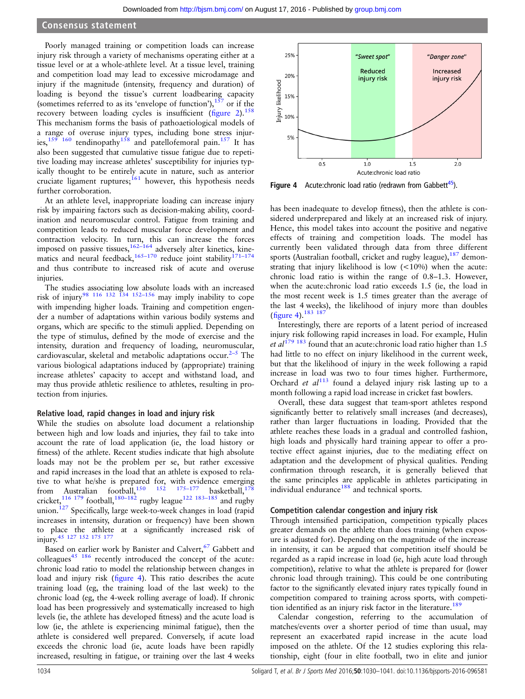Poorly managed training or competition loads can increase injury risk through a variety of mechanisms operating either at a tissue level or at a whole-athlete level. At a tissue level, training and competition load may lead to excessive microdamage and injury if the magnitude (intensity, frequency and duration) of loading is beyond the tissue's current loadbearing capacity (sometimes referred to as its 'envelope of function'),  $157$  or if the recovery between loading cycles is insufficient (fi[gure 2](#page-2-0)).<sup>[158](#page-11-0)</sup> This mechanism forms the basis of pathoaetiological models of a range of overuse injury types, including bone stress injuries, $159 \t{160}$  tendinopathy $158$  and patellofemoral pain.<sup>[157](#page-11-0)</sup> It has also been suggested that cumulative tissue fatigue due to repetitive loading may increase athletes' susceptibility for injuries typically thought to be entirely acute in nature, such as anterior cruciate ligament ruptures;<sup>[161](#page-11-0)</sup> however, this hypothesis needs further corroboration.

At an athlete level, inappropriate loading can increase injury risk by impairing factors such as decision-making ability, coordination and neuromuscular control. Fatigue from training and competition leads to reduced muscular force development and contraction velocity. In turn, this can increase the forces imposed on passive tissues,  $162-164$  $162-164$  adversely alter kinetics, kine-matics and neural feedback,<sup>[165](#page-11-0)–170</sup> reduce joint stability<sup>171–[174](#page-12-0)</sup> and thus contribute to increased risk of acute and overuse injuries.

The studies associating low absolute loads with an increased risk of injury<sup>[98](#page-10-0) [116 132 134 152](#page-11-0)–156</sup> may imply inability to cope with impending higher loads. Training and competition engender a number of adaptations within various bodily systems and organs, which are specific to the stimuli applied. Depending on the type of stimulus, defined by the mode of exercise and the intensity, duration and frequency of loading, neuromuscular, cardiovascular, skeletal and metabolic adaptations occur. $2-5$  The various biological adaptations induced by (appropriate) training increase athletes' capacity to accept and withstand load, and may thus provide athletic resilience to athletes, resulting in protection from injuries.

#### Relative load, rapid changes in load and injury risk

While the studies on absolute load document a relationship between high and low loads and injuries, they fail to take into account the rate of load application (ie, the load history or fitness) of the athlete. Recent studies indicate that high absolute loads may not be the problem per se, but rather excessive and rapid increases in the load that an athlete is exposed to relative to what he/she is prepared for, with evidence emerging<br>from Australian football,  $150$   $152$   $175-177$  basketball,  $178$ from Australian football,<sup>150</sup> cricket,<sup>[116](#page-11-0) [179](#page-12-0)</sup> football,<sup>[180](#page-12-0)–182</sup> rugby league<sup>[122](#page-11-0) [183](#page-12-0)–185</sup> and rugby union.<sup>[127](#page-11-0)</sup> Specifically, large week-to-week changes in load (rapid increases in intensity, duration or frequency) have been shown to place the athlete at a significantly increased risk of injury.<sup>[45](#page-10-0)</sup> [127 152](#page-11-0) [175 177](#page-12-0)

Based on earlier work by Banister and Calvert,<sup>[67](#page-10-0)</sup> Gabbett and colleagues<sup> $45$  [186](#page-12-0)</sup> recently introduced the concept of the acute: chronic load ratio to model the relationship between changes in load and injury risk (figure 4). This ratio describes the acute training load (eg, the training load of the last week) to the chronic load (eg, the 4-week rolling average of load). If chronic load has been progressively and systematically increased to high levels (ie, the athlete has developed fitness) and the acute load is low (ie, the athlete is experiencing minimal fatigue), then the athlete is considered well prepared. Conversely, if acute load exceeds the chronic load (ie, acute loads have been rapidly increased, resulting in fatigue, or training over the last 4 weeks



**Figure 4** Acute: chronic load ratio (redrawn from Gabbett<sup>45</sup>).

has been inadequate to develop fitness), then the athlete is considered underprepared and likely at an increased risk of injury. Hence, this model takes into account the positive and negative effects of training and competition loads. The model has currently been validated through data from three different sports (Australian football, cricket and rugby league), $187$  demonstrating that injury likelihood is low (<10%) when the acute: chronic load ratio is within the range of 0.8–1.3. However, when the acute:chronic load ratio exceeds 1.5 (ie, the load in the most recent week is 1.5 times greater than the average of the last 4 weeks), the likelihood of injury more than doubles (figure 4).<sup>183</sup> <sup>18</sup>

Interestingly, there are reports of a latent period of increased injury risk following rapid increases in load. For example, Hulin et  $al^{179}$  183 found that an acute: chronic load ratio higher than 1.5 had little to no effect on injury likelihood in the current week, but that the likelihood of injury in the week following a rapid increase in load was two to four times higher. Furthermore, Orchard et  $al^{113}$  $al^{113}$  $al^{113}$  found a delayed injury risk lasting up to a month following a rapid load increase in cricket fast bowlers.

Overall, these data suggest that team-sport athletes respond significantly better to relatively small increases (and decreases), rather than larger fluctuations in loading. Provided that the athlete reaches these loads in a gradual and controlled fashion, high loads and physically hard training appear to offer a protective effect against injuries, due to the mediating effect on adaptation and the development of physical qualities. Pending confirmation through research, it is generally believed that the same principles are applicable in athletes participating in individual endurance<sup>[188](#page-12-0)</sup> and technical sports.

#### Competition calendar congestion and injury risk

Through intensified participation, competition typically places greater demands on the athlete than does training (when exposure is adjusted for). Depending on the magnitude of the increase in intensity, it can be argued that competition itself should be regarded as a rapid increase in load (ie, high acute load through competition), relative to what the athlete is prepared for (lower chronic load through training). This could be one contributing factor to the significantly elevated injury rates typically found in competition compared to training across sports, with competition identified as an injury risk factor in the literature.<sup>189</sup>

Calendar congestion, referring to the accumulation of matches/events over a shorter period of time than usual, may represent an exacerbated rapid increase in the acute load imposed on the athlete. Of the 12 studies exploring this relationship, eight (four in elite football, two in elite and junior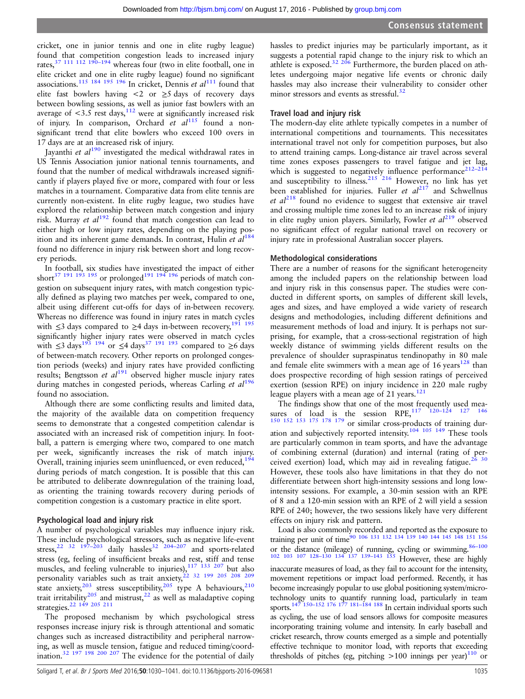cricket, one in junior tennis and one in elite rugby league) found that competition congestion leads to increased injury rates,[37](#page-9-0) [111 112](#page-11-0) 190–[194](#page-12-0) whereas four (two in elite football, one in elite cricket and one in elite rugby league) found no significant associations.<sup>[115](#page-11-0) [184 195 196](#page-12-0)</sup> In cricket, Dennis et  $al^{111}$  $al^{111}$  $al^{111}$  found that elite fast bowlers having  $\lt 2$  or  $\geq 5$  days of recovery days between bowling sessions, as well as junior fast bowlers with an average of  $\lt3.5$  rest days,<sup>[112](#page-11-0)</sup> were at significantly increased risk of injury. In comparison, Orchard et  $al^{115}$  $al^{115}$  $al^{115}$  found a nonsignificant trend that elite bowlers who exceed 100 overs in 17 days are at an increased risk of injury.

Jayanthi *et al*<sup>[190](#page-12-0)</sup> investigated the medical withdrawal rates in US Tennis Association junior national tennis tournaments, and found that the number of medical withdrawals increased significantly if players played five or more, compared with four or less matches in a tournament. Comparative data from elite tennis are currently non-existent. In elite rugby league, two studies have explored the relationship between match congestion and injury risk. Murray et  $al^{192}$  $al^{192}$  $al^{192}$  found that match congestion can lead to either high or low injury rates, depending on the playing position and its inherent game demands. In contrast, Hulin et  $al^{184}$  $al^{184}$  $al^{184}$ found no difference in injury risk between short and long recovery periods.

In football, six studies have investigated the impact of either short<sup>[37](#page-9-0)</sup> <sup>191 193</sup> <sup>195</sup> or prolonged<sup>191 194</sup> <sup>196</sup> periods of match congestion on subsequent injury rates, with match congestion typically defined as playing two matches per week, compared to one, albeit using different cut-offs for days of in-between recovery. Whereas no difference was found in injury rates in match cycles with  $\leq$ 3 days compared to  $\geq$ 4 days in-between recovery,<sup>[191 195](#page-12-0)</sup> significantly higher injury rates were observed in match cycles with  $\leq$ 3 days<sup>193</sup> <sup>194</sup> or  $\leq$ 4 days<sup>[37](#page-9-0)</sup> <sup>191</sup> <sup>193</sup> compared to  $\geq$ 6 days of between-match recovery. Other reports on prolonged congestion periods (weeks) and injury rates have provided conflicting results; Bengtsson et  $al^{191}$  $al^{191}$  $al^{191}$  observed higher muscle injury rates during matches in congested periods, whereas Carling et  $al^{196}$  $al^{196}$  $al^{196}$ found no association.

Although there are some conflicting results and limited data, the majority of the available data on competition frequency seems to demonstrate that a congested competition calendar is associated with an increased risk of competition injury. In football, a pattern is emerging where two, compared to one match per week, significantly increases the risk of match injury. Overall, training injuries seem uninfluenced, or even reduced,<sup>194</sup> during periods of match congestion. It is possible that this can be attributed to deliberate downregulation of the training load, as orienting the training towards recovery during periods of competition congestion is a customary practice in elite sport.

#### Psychological load and injury risk

A number of psychological variables may influence injury risk. These include psychological stressors, such as negative life-event stress,<sup>[22 32](#page-9-0) 197–[203](#page-12-0)</sup> daily hassles<sup>32 [204](#page-12-0)–207</sup> and sports-related stress (eg, feeling of insufficient breaks and rest, stiff and tense muscles, and feeling vulnerable to injuries),<sup>[117 133](#page-11-0) [207](#page-12-0)</sup> but also personality variables such as trait anxiety,  $22 \frac{32}{199}$   $205$   $208$   $209$ state anxiety,  $203$  stress susceptibility,  $205$  type A behaviours,  $210$ trait irritability<sup>[205](#page-12-0)</sup> and mistrust,<sup>[22](#page-9-0)</sup> as well as maladaptive coping strategies.<sup>[22](#page-9-0)</sup> <sup>149</sup> <sup>205</sup> <sup>211</sup>

The proposed mechanism by which psychological stress responses increase injury risk is through attentional and somatic changes such as increased distractibility and peripheral narrowing, as well as muscle tension, fatigue and reduced timing/coord-ination.<sup>32 [197 198 200 207](#page-12-0)</sup> The evidence for the potential of daily

hassles to predict injuries may be particularly important, as it suggests a potential rapid change to the injury risk to which an athlete is exposed.<sup>[32](#page-9-0) [206](#page-12-0)</sup> Furthermore, the burden placed on athletes undergoing major negative life events or chronic daily hassles may also increase their vulnerability to consider other minor stressors and events as stressful.<sup>[32](#page-9-0)</sup>

#### Travel load and injury risk

The modern-day elite athlete typically competes in a number of international competitions and tournaments. This necessitates international travel not only for competition purposes, but also to attend training camps. Long-distance air travel across several time zones exposes passengers to travel fatigue and jet lag, which is suggested to negatively influence performance<sup>[212](#page-12-0)–214</sup> and susceptibility to illness.  $215$   $216$  However, no link has yet been established for injuries. Fuller *et al*<sup>[217](#page-12-0)</sup> and Schwellnus et  $al^{218}$  $al^{218}$  $al^{218}$  found no evidence to suggest that extensive air travel and crossing multiple time zones led to an increase risk of injury in elite rugby union players. Similarly, Fowler et  $al^{219}$  $al^{219}$  $al^{219}$  observed no significant effect of regular national travel on recovery or injury rate in professional Australian soccer players.

#### Methodological considerations

There are a number of reasons for the significant heterogeneity among the included papers on the relationship between load and injury risk in this consensus paper. The studies were conducted in different sports, on samples of different skill levels, ages and sizes, and have employed a wide variety of research designs and methodologies, including different definitions and measurement methods of load and injury. It is perhaps not surprising, for example, that a cross-sectional registration of high weekly distance of swimming yields different results on the prevalence of shoulder supraspinatus tendinopathy in 80 male and female elite swimmers with a mean age of  $16$  years<sup>[128](#page-11-0)</sup> than does prospective recording of high session ratings of perceived exertion (session RPE) on injury incidence in 220 male rugby league players with a mean age of 21 years.<sup>121</sup>

The findings show that one of the most frequently used measures of load is the session RPE,  $117 \t120-124 \t127 \t146$ [150 152 153](#page-11-0) [175 178 179](#page-12-0) or similar cross-products of training duration and subjectively reported intensity.[104 105 149](#page-11-0) These tools are particularly common in team sports, and have the advantage of combining external (duration) and internal (rating of perceived exertion) load, which may aid in revealing fatigue. $2630$ However, these tools also have limitations in that they do not differentiate between short high-intensity sessions and long lowintensity sessions. For example, a 30-min session with an RPE of 8 and a 120-min session with an RPE of 2 will yield a session RPE of 240; however, the two sessions likely have very different effects on injury risk and pattern.

Load is also commonly recorded and reported as the exposure to training per unit of time<sup>[90](#page-10-0)</sup> [106 131 132 134 139 140 144 145 148 151 156](#page-11-0) or the distance (mileage) of running, cycling or swimming.<sup>86-[100](#page-10-0)</sup> 01 the distance tunitary of future of  $\frac{1}{102}$  [102 103](#page-10-0) [107 128](#page-11-0)–130 [134 137](#page-11-0) 139–[143 155](#page-11-0) However, these are highly inaccurate measures of load, as they fail to account for the intensity, movement repetitions or impact load performed. Recently, it has become increasingly popular to use global positioning system/microtechnology units to quantify running load, particularly in team sports.<sup>147</sup> <sup>150–152</sup> <sup>176</sup> <sup>177</sup> <sup>181–184</sup> <sup>188</sup> In certain individual sports such as cycling, the use of load sensors allows for composite measures incorporating training volume and intensity. In early baseball and cricket research, throw counts emerged as a simple and potentially effective technique to monitor load, with reports that exceeding thresholds of pitches (eg, pitching  $>100$  innings per year) $110$  or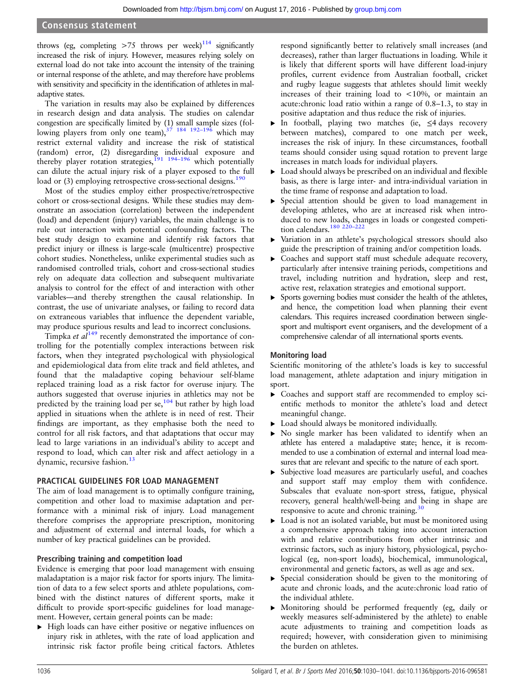throws (eg, completing  $>75$  throws per week)<sup>114</sup> significantly increased the risk of injury. However, measures relying solely on external load do not take into account the intensity of the training or internal response of the athlete, and may therefore have problems with sensitivity and specificity in the identification of athletes in maladaptive states.

The variation in results may also be explained by differences in research design and data analysis. The studies on calendar congestion are specifically limited by (1) small sample sizes (following players from only one team),  $37 \frac{184}{192-196}$  which may restrict external validity and increase the risk of statistical (random) error, (2) disregarding individual exposure and thereby player rotation strategies,<sup>[191 194](#page-12-0)–196</sup> which potentially can dilute the actual injury risk of a player exposed to the full load or (3) employing retrospective cross-sectional designs.<sup>190</sup>

Most of the studies employ either prospective/retrospective cohort or cross-sectional designs. While these studies may demonstrate an association (correlation) between the independent (load) and dependent (injury) variables, the main challenge is to rule out interaction with potential confounding factors. The best study design to examine and identify risk factors that predict injury or illness is large-scale (multicentre) prospective cohort studies. Nonetheless, unlike experimental studies such as randomised controlled trials, cohort and cross-sectional studies rely on adequate data collection and subsequent multivariate analysis to control for the effect of and interaction with other variables—and thereby strengthen the causal relationship. In contrast, the use of univariate analyses, or failing to record data on extraneous variables that influence the dependent variable, may produce spurious results and lead to incorrect conclusions.

Timpka et  $al^{149}$  $al^{149}$  $al^{149}$  recently demonstrated the importance of controlling for the potentially complex interactions between risk factors, when they integrated psychological with physiological and epidemiological data from elite track and field athletes, and found that the maladaptive coping behaviour self-blame replaced training load as a risk factor for overuse injury. The authors suggested that overuse injuries in athletics may not be predicted by the training load per  $se^{104}$  $se^{104}$  $se^{104}$  but rather by high load applied in situations when the athlete is in need of rest. Their findings are important, as they emphasise both the need to control for all risk factors, and that adaptations that occur may lead to large variations in an individual's ability to accept and respond to load, which can alter risk and affect aetiology in a dynamic, recursive fashion.<sup>[13](#page-9-0)</sup>

#### PRACTICAL GUIDELINES FOR LOAD MANAGEMENT

The aim of load management is to optimally configure training, competition and other load to maximise adaptation and performance with a minimal risk of injury. Load management therefore comprises the appropriate prescription, monitoring and adjustment of external and internal loads, for which a number of key practical guidelines can be provided.

#### Prescribing training and competition load

Evidence is emerging that poor load management with ensuing maladaptation is a major risk factor for sports injury. The limitation of data to a few select sports and athlete populations, combined with the distinct natures of different sports, make it difficult to provide sport-specific guidelines for load management. However, certain general points can be made:

▸ High loads can have either positive or negative influences on injury risk in athletes, with the rate of load application and intrinsic risk factor profile being critical factors. Athletes

respond significantly better to relatively small increases (and decreases), rather than larger fluctuations in loading. While it is likely that different sports will have different load-injury profiles, current evidence from Australian football, cricket and rugby league suggests that athletes should limit weekly increases of their training load to <10%, or maintain an acute:chronic load ratio within a range of 0.8–1.3, to stay in positive adaptation and thus reduce the risk of injuries.

- In football, playing two matches (ie,  $\leq 4$  days recovery between matches), compared to one match per week, increases the risk of injury. In these circumstances, football teams should consider using squad rotation to prevent large increases in match loads for individual players.
- ▸ Load should always be prescribed on an individual and flexible basis, as there is large inter- and intra-individual variation in the time frame of response and adaptation to load.
- ▸ Special attention should be given to load management in developing athletes, who are at increased risk when introduced to new loads, changes in loads or congested competition calendars[.180 220](#page-12-0)–<sup>222</sup>
- Variation in an athlete's psychological stressors should also guide the prescription of training and/or competition loads.
- ▸ Coaches and support staff must schedule adequate recovery, particularly after intensive training periods, competitions and travel, including nutrition and hydration, sleep and rest, active rest, relaxation strategies and emotional support.
- ▸ Sports governing bodies must consider the health of the athletes, and hence, the competition load when planning their event calendars. This requires increased coordination between singlesport and multisport event organisers, and the development of a comprehensive calendar of all international sports events.

## Monitoring load

Scientific monitoring of the athlete's loads is key to successful load management, athlete adaptation and injury mitigation in sport.

- ▶ Coaches and support staff are recommended to employ scientific methods to monitor the athlete's load and detect meaningful change.
- ▸ Load should always be monitored individually.
- ▸ No single marker has been validated to identify when an athlete has entered a maladaptive state; hence, it is recommended to use a combination of external and internal load measures that are relevant and specific to the nature of each sport.
- ▸ Subjective load measures are particularly useful, and coaches and support staff may employ them with confidence. Subscales that evaluate non-sport stress, fatigue, physical recovery, general health/well-being and being in shape are responsive to acute and chronic training.<sup>[30](#page-9-0)</sup>
- ▸ Load is not an isolated variable, but must be monitored using a comprehensive approach taking into account interaction with and relative contributions from other intrinsic and extrinsic factors, such as injury history, physiological, psychological (eg, non-sport loads), biochemical, immunological, environmental and genetic factors, as well as age and sex.
- ▸ Special consideration should be given to the monitoring of acute and chronic loads, and the acute:chronic load ratio of the individual athlete.
- ▸ Monitoring should be performed frequently (eg, daily or weekly measures self-administered by the athlete) to enable acute adjustments to training and competition loads as required; however, with consideration given to minimising the burden on athletes.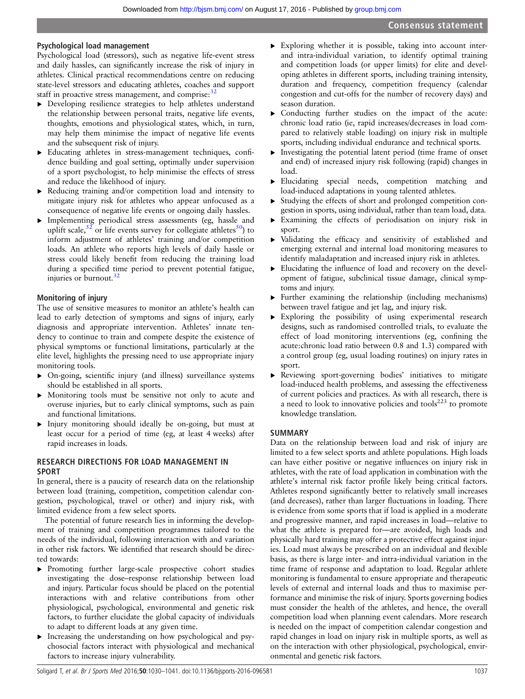## Psychological load management

Psychological load (stressors), such as negative life-event stress and daily hassles, can significantly increase the risk of injury in athletes. Clinical practical recommendations centre on reducing state-level stressors and educating athletes, coaches and support staff in proactive stress management, and comprise: $32$ 

- ▸ Developing resilience strategies to help athletes understand the relationship between personal traits, negative life events, thoughts, emotions and physiological states, which, in turn, may help them minimise the impact of negative life events and the subsequent risk of injury.
- ▸ Educating athletes in stress-management techniques, confidence building and goal setting, optimally under supervision of a sport psychologist, to help minimise the effects of stress and reduce the likelihood of injury.
- ▸ Reducing training and/or competition load and intensity to mitigate injury risk for athletes who appear unfocused as a consequence of negative life events or ongoing daily hassles.
- ▸ Implementing periodical stress assessments (eg, hassle and uplift scale,  $52$  or life events survey for collegiate athletes  $50$  to inform adjustment of athletes' training and/or competition loads. An athlete who reports high levels of daily hassle or stress could likely benefit from reducing the training load during a specified time period to prevent potential fatigue, injuries or burnout.<sup>[32](#page-9-0)</sup>

## Monitoring of injury

The use of sensitive measures to monitor an athlete's health can lead to early detection of symptoms and signs of injury, early diagnosis and appropriate intervention. Athletes' innate tendency to continue to train and compete despite the existence of physical symptoms or functional limitations, particularly at the elite level, highlights the pressing need to use appropriate injury monitoring tools.

- ▸ On-going, scientific injury (and illness) surveillance systems should be established in all sports.
- ▸ Monitoring tools must be sensitive not only to acute and overuse injuries, but to early clinical symptoms, such as pain and functional limitations.
- ▸ Injury monitoring should ideally be on-going, but must at least occur for a period of time (eg, at least 4 weeks) after rapid increases in loads.

#### RESEARCH DIRECTIONS FOR LOAD MANAGEMENT IN SPORT

In general, there is a paucity of research data on the relationship between load (training, competition, competition calendar congestion, psychological, travel or other) and injury risk, with limited evidence from a few select sports.

The potential of future research lies in informing the development of training and competition programmes tailored to the needs of the individual, following interaction with and variation in other risk factors. We identified that research should be directed towards:

- ▸ Promoting further large-scale prospective cohort studies investigating the dose–response relationship between load and injury. Particular focus should be placed on the potential interactions with and relative contributions from other physiological, psychological, environmental and genetic risk factors, to further elucidate the global capacity of individuals to adapt to different loads at any given time.
- ▸ Increasing the understanding on how psychological and psychosocial factors interact with physiological and mechanical factors to increase injury vulnerability.
- ▸ Exploring whether it is possible, taking into account interand intra-individual variation, to identify optimal training and competition loads (or upper limits) for elite and developing athletes in different sports, including training intensity, duration and frequency, competition frequency (calendar congestion and cut-offs for the number of recovery days) and season duration.
- Conducting further studies on the impact of the acute: chronic load ratio (ie, rapid increases/decreases in load compared to relatively stable loading) on injury risk in multiple sports, including individual endurance and technical sports.
- ▸ Investigating the potential latent period (time frame of onset and end) of increased injury risk following (rapid) changes in load.
- ▸ Elucidating special needs, competition matching and load-induced adaptations in young talented athletes.
- ▸ Studying the effects of short and prolonged competition congestion in sports, using individual, rather than team load, data.
- ▸ Examining the effects of periodisation on injury risk in sport.
- ▸ Validating the efficacy and sensitivity of established and emerging external and internal load monitoring measures to identify maladaptation and increased injury risk in athletes.
- ▸ Elucidating the influence of load and recovery on the development of fatigue, subclinical tissue damage, clinical symptoms and injury.
- Further examining the relationship (including mechanisms) between travel fatigue and jet lag, and injury risk.
- ▸ Exploring the possibility of using experimental research designs, such as randomised controlled trials, to evaluate the effect of load monitoring interventions (eg, confining the acute:chronic load ratio between 0.8 and 1.3) compared with a control group (eg, usual loading routines) on injury rates in sport.
- ▸ Reviewing sport-governing bodies' initiatives to mitigate load-induced health problems, and assessing the effectiveness of current policies and practices. As with all research, there is a need to look to innovative policies and tool $s^{223}$  to promote knowledge translation.

## **SUMMARY**

Data on the relationship between load and risk of injury are limited to a few select sports and athlete populations. High loads can have either positive or negative influences on injury risk in athletes, with the rate of load application in combination with the athlete's internal risk factor profile likely being critical factors. Athletes respond significantly better to relatively small increases (and decreases), rather than larger fluctuations in loading. There is evidence from some sports that if load is applied in a moderate and progressive manner, and rapid increases in load—relative to what the athlete is prepared for—are avoided, high loads and physically hard training may offer a protective effect against injuries. Load must always be prescribed on an individual and flexible basis, as there is large inter- and intra-individual variation in the time frame of response and adaptation to load. Regular athlete monitoring is fundamental to ensure appropriate and therapeutic levels of external and internal loads and thus to maximise performance and minimise the risk of injury. Sports governing bodies must consider the health of the athletes, and hence, the overall competition load when planning event calendars. More research is needed on the impact of competition calendar congestion and rapid changes in load on injury risk in multiple sports, as well as on the interaction with other physiological, psychological, environmental and genetic risk factors.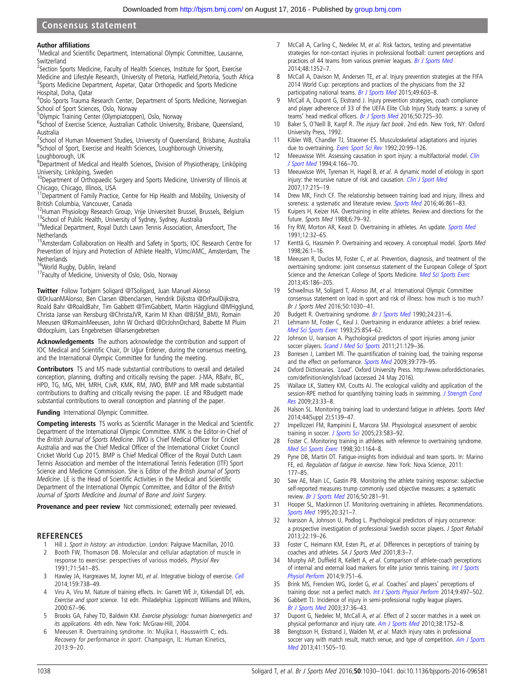#### <span id="page-9-0"></span>Author affiliations <sup>1</sup>

<sup>1</sup>Medical and Scientific Department, International Olympic Committee, Lausanne, Switzerland

<sup>2</sup>Section Sports Medicine, Faculty of Health Sciences, Institute for Sport, Exercise Medicine and Lifestyle Research, University of Pretoria, Hatfield,Pretoria, South Africa <sup>3</sup> <sup>3</sup>Sports Medicine Department, Aspetar, Qatar Orthopedic and Sports Medicine Hospital, Doha, Qatar

4 Oslo Sports Trauma Research Center, Department of Sports Medicine, Norwegian School of Sport Sciences, Oslo, Norway

<sup>5</sup>Olympic Training Center (Olympiatoppen), Oslo, Norway

<sup>6</sup>School of Exercise Science, Australian Catholic University, Brisbane, Queensland, Australia

<sup>7</sup>School of Human Movement Studies, University of Queensland, Brisbane, Australia <sup>8</sup>School of Sport, Exercise and Health Sciences, Loughborough University, Loughborough, UK

<sup>9</sup>Department of Medical and Health Sciences, Division of Physiotherapy, Linköping

University, Linköping, Sweden<br><sup>10</sup>Department of Orthopaedic Surgery and Sports Medicine, University of Illinois at Chicago, Chicago, Illinois, USA

<sup>11</sup>Department of Family Practice, Centre for Hip Health and Mobility, University of

British Columbia, Vancouver, Canada<br><sup>12</sup>Human Physiology Research Group, Vrije Universiteit Brussel, Brussels, Belgium

<sup>13</sup>School of Public Health, University of Sydney, Sydney, Australia<br><sup>14</sup>Medical Department, Royal Dutch Lawn Tennis Association, Amersfoort, The **Netherlands** 

<sup>15</sup> Amsterdam Collaboration on Health and Safety in Sports, IOC Research Centre for Prevention of Injury and Protection of Athlete Health, VUmc/AMC, Amsterdam, The

Netherlands<br><sup>16</sup>World Rugby, Dublin, Ireland

<sup>17</sup>Faculty of Medicine, University of Oslo, Oslo, Norway

Twitter Follow Torbjørn Soligard [@TSoligard, Juan Manuel Alonso](http://twitter.com/TSoligard)

[@DrJuanMAlonso, Ben Clarsen @benclarsen, Hendrik Dijkstra @DrPaulDijkstra,](http://twitter.com/DrPaulDijkstra) [Roald Bahr @RoaldBahr, Tim Gabbett @TimGabbett, Martin Hägglund @MHgglund,](http://twitter.com/MHgglund) [Christa Janse van Rensburg @ChristaJVR, Karim M Khan @BJSM\\_BMJ, Romain](http://twitter.com/BJSM_BMJ) [Meeusen @RomainMeeusen, John W Orchard @DrJohnOrchard, Babette M Pluim](http://twitter.com/DrJohnOrchard) [@docpluim, Lars Engebretsen @larsengebretsen](http://twitter.com/larsengebretsen)

Acknowledgements The authors acknowledge the contribution and support of IOC Medical and Scientific Chair, Dr Uğur Erdener, during the consensus meeting, and the International Olympic Committee for funding the meeting.

Contributors TS and MS made substantial contributions to overall and detailed conception, planning, drafting and critically revising the paper. J-MA, RBahr, BC, HPD, TG, MG, MH, MRH, CJvR, KMK, RM, JWO, BMP and MR made substantial contributions to drafting and critically revising the paper. LE and RBudgett made substantial contributions to overall conception and planning of the paper.

Funding International Olympic Committee.

Competing interests TS works as Scientific Manager in the Medical and Scientific Department of the International Olympic Committee. KMK is the Editor-in-Chief of the British Journal of Sports Medicine. JWO is Chief Medical Officer for Cricket Australia and was the Chief Medical Officer of the International Cricket Council Cricket World Cup 2015. BMP is Chief Medical Officer of the Royal Dutch Lawn Tennis Association and member of the International Tennis Federation (ITF) Sport Science and Medicine Commission. She is Editor of the British Journal of Sports Medicine. LE is the Head of Scientific Activities in the Medical and Scientific Department of the International Olympic Committee, and Editor of the British Journal of Sports Medicine and Journal of Bone and Joint Surgery.

Provenance and peer review Not commissioned; externally peer reviewed.

#### **REFERENCES**

- 1 Hill J. Sport in history: an introduction. London: Palgrave Macmillan, 2010.
- 2 Booth FW, Thomason DB. Molecular and cellular adaptation of muscle in response to exercise: perspectives of various models. Physiol Rev 1991;71:541–85.
- 3 Hawley JA, Hargreaves M, Joyner MJ, et al. Integrative biology of exercise. [Cell](http://dx.doi.org/10.1016/j.cell.2014.10.029) 2014;159:738–49.
- 4 Viru A, Viru M. Nature of training effects. In: Garrett WE Jr, Kirkendall DT, eds. Exercise and sport science. 1st edn. Philadelphia: Lippincott Williams and Wilkins, 2000:67–96.
- 5 Brooks GA, Fahey TD, Baldwin KM. Exercise physiology: human bioenergetics and its applications. 4th edn. New York: McGraw-Hill, 2004.
- 6 Meeusen R. Overtraining syndrome. In: Mujika I, Hausswirth C, eds. Recovery for performance in sport. Champaign, IL: Human Kinetics, 2013:9–20.
- 7 McCall A, Carling C, Nedelec M, et al. Risk factors, testing and preventative strategies for non-contact injuries in professional football: current perceptions and practices of 44 teams from various premier leagues. [Br J Sports Med](http://dx.doi.org/10.1136/bjsports-2014-093439) 2014;48:1352–7.
- McCall A, Davison M, Andersen TE, et al. Injury prevention strategies at the FIFA 2014 World Cup: perceptions and practices of the physicians from the 32 participating national teams. [Br J Sports Med](http://dx.doi.org/10.1136/bjsports-2015-094747) 2015;49:603-8.
- 9 McCall A, Dupont G, Ekstrand J. Injury prevention strategies, coach compliance and player adherence of 33 of the UEFA Elite Club Injury Study teams: a survey of teams' head medical officers. [Br J Sports Med](http://dx.doi.org/10.1136/bjsports-2015-095259) 2016;50:725-30.
- 10 Baker S, O'Neill B, Karpf R. The injury fact book. 2nd edn. New York, NY: Oxford University Press, 1992.
- 11 Kibler WB, Chandler TJ, Stracener ES. Musculoskeletal adaptations and injuries due to overtraining. [Exerc Sport Sci Rev](http://dx.doi.org/10.1249/00003677-199200200-00004) 1992;20:99-126.
- 12 Meeuwisse WH. Assessing causation in sport injury: a multifactorial model. [Clin](http://dx.doi.org/10.1097/00042752-199407000-00004) [J Sport Med](http://dx.doi.org/10.1097/00042752-199407000-00004) 1994;4:166–70.
- 13 Meeuwisse WH, Tyreman H, Hagel B, et al. A dynamic model of etiology in sport injury: the recursive nature of risk and causation. [Clin J Sport Med](http://dx.doi.org/10.1097/JSM.0b013e3180592a48) 2007;17:215–19.
- 14 Drew MK, Finch CF. The relationship between training load and injury, illness and soreness: a systematic and literature review. [Sports Med](http://dx.doi.org/10.1007/s40279-015-0459-8) 2016;46:861-83.
- 15 Kuipers H, Keizer HA. Overtraining in elite athletes. Review and directions for the future. Sports Med 1988;6:79–92.
- 16 Fry RW, Morton AR, Keast D. Overtraining in athletes. An update. [Sports Med](http://dx.doi.org/10.2165/00007256-199112010-00004) 1991;12:32–65.
- 17 Kenttä G, Hassmén P. Overtraining and recovery. A conceptual model. Sports Med 1998;26:1–16.
- 18 Meeusen R, Duclos M, Foster C, et al. Prevention, diagnosis, and treatment of the overtraining syndrome: joint consensus statement of the European College of Sport Science and the American College of Sports Medicine. [Med Sci Sports Exerc](http://dx.doi.org/10.1249/MSS.0b013e318279a10a) 2013;45:186–205.
- 19 Schwellnus M, Soligard T, Alonso JM, et al. International Olympic Committee consensus statement on load in sport and risk of illness: how much is too much? Br J Sports Med 2016;50:1030–41.
- 20 Budgett R. Overtraining syndrome. [Br J Sports Med](http://dx.doi.org/10.1136/bjsm.24.4.231) 1990;24:231-6.
- 21 Lehmann M, Foster C, Keul J. Overtraining in endurance athletes: a brief review. [Med Sci Sports Exerc](http://dx.doi.org/10.1249/00005768-199307000-00015) 1993;25:854–62.
- 22 Johnson U, Ivarsson A. Psychological predictors of sport injuries among junior soccer players. [Scand J Med Sci Sports](http://dx.doi.org/10.1111/j.1600-0838.2009.01057.x) 2011;21:129-36.
- 23 Borresen J, Lambert MI. The quantification of training load, the training response and the effect on performance. [Sports Med](http://dx.doi.org/10.2165/11317780-000000000-00000) 2009;39:779-95.
- 24 Oxford Dictionaries. 'Load'. Oxford University Press. [http://www.oxforddictionaries.](http://www.oxforddictionaries.com/definition/english/load) com/defi[nition/english/load](http://www.oxforddictionaries.com/definition/english/load) (accessed 24 May 2016).
- 25 Wallace LK, Slattery KM, Coutts AJ. The ecological validity and application of the session-RPE method for quantifying training loads in swimming. [J Strength Cond](http://dx.doi.org/10.1519/JSC.0b013e3181874512) [Res](http://dx.doi.org/10.1519/JSC.0b013e3181874512) 2009;23:33–8.
- 26 Halson SL. Monitoring training load to understand fatigue in athletes. Sports Med 2014;44(Suppl 2):S139–47.
- 27 Impellizzeri FM, Rampinini E, Marcora SM. Physiological assessment of aerobic training in soccer. [J Sports Sci](http://dx.doi.org/10.1080/02640410400021278) 2005;23:583-92.
- 28 Foster C. Monitoring training in athletes with reference to overtraining syndrome. [Med Sci Sports Exerc](http://dx.doi.org/10.1097/00005768-199807000-00023) 1998;30:1164–8.
- 29 Pyne DB, Martin DT. Fatigue-insights from individual and team sports. In: Marino FE, ed. Regulation of fatigue in exercise. New York: Nova Science, 2011: 177–85.
- 30 Saw AE, Main LC, Gastin PB. Monitoring the athlete training response: subjective self-reported measures trump commonly used objective measures: a systematic review. [Br J Sports Med](http://dx.doi.org/10.1136/bjsports-2015-094758) 2016;50:281–91.
- 31 Hooper SL, Mackinnon LT. Monitoring overtraining in athletes. Recommendations. [Sports Med](http://dx.doi.org/10.2165/00007256-199520050-00003) 1995;20:321–7.
- 32 Ivarsson A, Johnson U, Podlog L. Psychological predictors of injury occurrence: a prospective investigation of professional Swedish soccer players. J Sport Rehabil 2013;22:19–26.
- 33 Foster C, Heimann KM, Esten PL, et al. Differences in perceptions of training by coaches and athletes. SA J Sports Med 2001;8:3–7.
- 34 Murphy AP, Duffield R, Kellett A, et al. Comparison of athlete-coach perceptions of internal and external load markers for elite junior tennis training. [Int J Sports](http://dx.doi.org/10.1123/ijspp2013-0364) [Physiol Perform](http://dx.doi.org/10.1123/ijspp2013-0364) 2014;9:751–6.
- 35 Brink MS, Frencken WG, Jordet G, et al. Coaches' and players' perceptions of training dose: not a perfect match. *[Int J Sports Physiol Perform](http://dx.doi.org/10.1123/ijspp.2013-0009)* 2014;9:497-502.
- 36 Gabbett TJ. Incidence of injury in semi-professional rugby league players. [Br J Sports Med](http://dx.doi.org/10.1136/bjsm.37.1.36) 2003;37:36–43.
- 37 Dupont G, Nedelec M, McCall A, et al. Effect of 2 soccer matches in a week on physical performance and injury rate. [Am J Sports Med](http://dx.doi.org/10.1177/0363546510361236) 2010;38:1752-8.
- Bengtsson H, Ekstrand J, Walden M, et al. Match injury rates in professional soccer vary with match result, match venue, and type of competition. [Am J Sports](http://dx.doi.org/10.1177/0363546513486769) [Med](http://dx.doi.org/10.1177/0363546513486769) 2013;41:1505–10.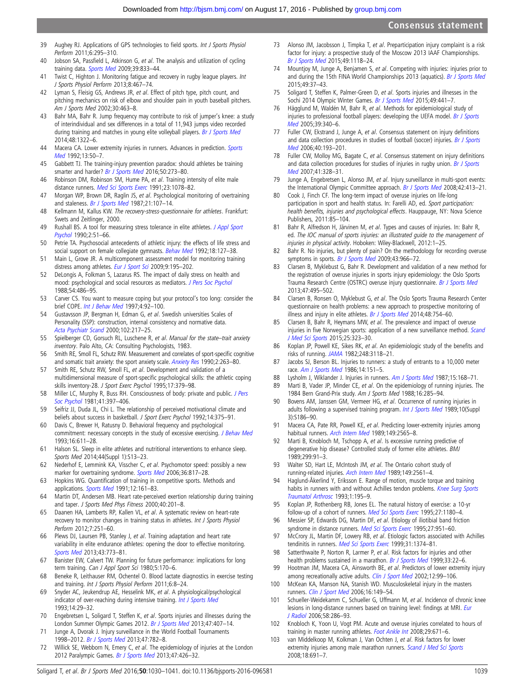- <span id="page-10-0"></span>39 Aughey RJ. Applications of GPS technologies to field sports. Int J Sports Physiol Perform 2011;6:295–310.
- 40 Jobson SA, Passfield L, Atkinson G, et al. The analysis and utilization of cycling training data. [Sports Med](http://dx.doi.org/10.2165/11317840-000000000-00000) 2009;39:833-44.
- 41 Twist C, Highton J. Monitoring fatigue and recovery in rugby league players. Int J Sports Physiol Perform 2013;8:467–74.
- 42 Lyman S, Fleisig GS, Andrews JR, et al. Effect of pitch type, pitch count, and pitching mechanics on risk of elbow and shoulder pain in youth baseball pitchers. Am J Sports Med 2002;30:463–8.
- 43 Bahr MA, Bahr R. Jump frequency may contribute to risk of jumper's knee: a study of interindividual and sex differences in a total of 11,943 jumps video recorded during training and matches in young elite volleyball players. [Br J Sports Med](http://dx.doi.org/10.1136/bjsports-2014-093593) 2014;48:1322–6.
- 44 Macera CA. Lower extremity injuries in runners. Advances in prediction. [Sports](http://dx.doi.org/10.2165/00007256-199213010-00005) [Med](http://dx.doi.org/10.2165/00007256-199213010-00005) 1992;13:50–7.
- 45 Gabbett TJ. The training-injury prevention paradox: should athletes be training smarter and harder? [Br J Sports Med](http://dx.doi.org/10.1136/bjsports-2015-095788) 2016;50:273-80.
- 46 Robinson DM, Robinson SM, Hume PA, et al. Training intensity of elite male distance runners. [Med Sci Sports Exerc](http://dx.doi.org/10.1249/00005768-199109000-00013) 1991;23:1078-82.
- 47 Morgan WP, Brown DR, Raglin JS, et al. Psychological monitoring of overtraining and staleness. [Br J Sports Med](http://dx.doi.org/10.1136/bjsm.21.3.107) 1987;21:107-14.
- 48 Kellmann M, Kallus KW. The recovery-stress-questionnaire for athletes. Frankfurt: Swets and Zeitlinger, 2000.
- 49 Rushall BS. A tool for measuring stress tolerance in elite athletes. [J Appl Sport](http://dx.doi.org/10.1080/10413209008406420) [Psychol](http://dx.doi.org/10.1080/10413209008406420) 1990;2:51–66.
- 50 Petrie TA. Psychosocial antecedents of athletic injury: the effects of life stress and social support on female collegiate gymnasts. [Behav Med](http://dx.doi.org/10.1080/08964289.1992.9936963) 1992;18:127-38.
- 51 Main L, Grove JR. A multicomponent assessment model for monitoring training distress among athletes. [Eur J Sport Sci](http://dx.doi.org/10.1080/17461390902818260) 2009;9:195-202.
- 52 DeLongis A, Folkman S, Lazarus RS. The impact of daily stress on health and mood: psychological and social resources as mediators. [J Pers Soc Psychol](http://dx.doi.org/10.1037/0022-3514.54.3.486) 1988;54:486–95.
- 53 Carver CS. You want to measure coping but your protocol's too long: consider the brief COPE. [Int J Behav Med](http://dx.doi.org/10.1207/s15327558ijbm0401_6) 1997;4:92-100.
- 54 Gustavsson JP, Bergman H, Edman G, et al. Swedish universities Scales of Personality (SSP): construction, internal consistency and normative data. [Acta Psychiatr Scand](http://dx.doi.org/10.1034/j.1600-0447.2000.102003217.x) 2000;102:217–25.
- 55 Spielberger CD, Gorsuch RL, Luschene R, et al. Manual for the state-trait anxiety inventory. Palo Alto, CA: Consulting Psychologists, 1983.
- 56 Smith RE, Smoll FL, Schutz RW. Measurement and correlates of sport-specific cognitive and somatic trait anxiety: the sport anxiety scale. [Anxiety Res](http://dx.doi.org/10.1080/08917779008248733) 1990;2:263-80.
- 57 Smith RE, Schutz RW, Smoll FL, et al. Development and validation of a multidimensional measure of sport-specific psychological skills: the athletic coping skills inventory-28. J Sport Exerc Psychol 1995;17:379–98.
- 58 Miller LC, Murphy R, Buss RH. Consciousness of body: private and public. [J Pers](http://dx.doi.org/10.1037/0022-3514.41.2.397) [Soc Psychol](http://dx.doi.org/10.1037/0022-3514.41.2.397) 1981;41:397–406.
- 59 Seifriz JJ, Duda JL, Chi L. The relationship of perceived motivational climate and beliefs about success in basketball. J Sport Exerc Psychol 1992;14:375-91.
- 60 Davis C, Brewer H, Ratusny D. Behavioral frequency and psychological commitment: necessary concepts in the study of excessive exercising. [J Behav Med](http://dx.doi.org/10.1007/BF00844722) 1993;16:611–28.
- 61 Halson SL. Sleep in elite athletes and nutritional interventions to enhance sleep. Sports Med 2014;44(Suppl 1):S13–23.
- 62 Nederhof E, Lemmink KA, Visscher C, et al. Psychomotor speed: possibly a new marker for overtraining syndrome. [Sports Med](http://dx.doi.org/10.2165/00007256-200636100-00001) 2006;36:817-28.
- 63 Hopkins WG. Quantification of training in competitive sports. Methods and applications. [Sports Med](http://dx.doi.org/10.2165/00007256-199112030-00003) 1991;12:161-83.
- 64 Martin DT, Andersen MB. Heart rate-perceived exertion relationship during training and taper. J Sports Med Phys Fitness 2000;40:201–8.
- 65 Daanen HA, Lamberts RP, Kallen VL, et al. A systematic review on heart-rate recovery to monitor changes in training status in athletes. Int J Sports Physiol Perform 2012;7:251–60.
- 66 Plews DJ, Laursen PB, Stanley J, et al. Training adaptation and heart rate variability in elite endurance athletes: opening the door to effective monitoring. [Sports Med](http://dx.doi.org/10.1007/s40279-013-0071-8) 2013;43:773–81.
- 67 Banister EW, Calvert TW. Planning for future performance: implications for long term training. Can J Appl Sport Sci 1980;5:170-6.
- 68 Beneke R, Leithauser RM, Ochentel O. Blood lactate diagnostics in exercise testing and training. Int J Sports Physiol Perform 2011;6:8–24.
- 69 Snyder AC, Jeukendrup AE, Hesselink MK, et al. A physiological/psychological indicator of over-reaching during intensive training. [Int J Sports Med](http://dx.doi.org/10.1055/s-2007-1021141) 1993;14:29–32.
- 70 Engebretsen L, Soligard T, Steffen K, et al. Sports injuries and illnesses during the London Summer Olympic Games 2012. [Br J Sports Med](http://dx.doi.org/10.1136/bjsports-2013-092380) 2013;47:407–14.
- 71 Junge A, Dvorak J. Injury surveillance in the World Football Tournaments 1998-2012. [Br J Sports Med](http://dx.doi.org/10.1136/bjsports-2013-092205) 2013;47:782-8.
- 72 Willick SE, Webborn N, Emery C, et al. The epidemiology of injuries at the London 2012 Paralympic Games. [Br J Sports Med](http://dx.doi.org/10.1136/bjsports-2013-092374) 2013;47:426-32.
- 73 Alonso JM, Jacobsson J, Timpka T, et al. Preparticipation injury complaint is a risk factor for injury: a prospective study of the Moscow 2013 IAAF Championships. [Br J Sports Med](http://dx.doi.org/10.1136/bjsports-2014-094359) 2015;49:1118–24.
- 74 Mountjoy M, Junge A, Benjamen S, et al. Competing with injuries: injuries prior to and during the 15th FINA World Championships 2013 (aquatics). [Br J Sports Med](http://dx.doi.org/10.1136/bjsports-2014-093991) 2015;49:37–43.
- 75 Soligard T, Steffen K, Palmer-Green D, et al. Sports injuries and illnesses in the Sochi 2014 Olympic Winter Games. [Br J Sports Med](http://dx.doi.org/10.1136/bjsports-2014-094538) 2015;49:441-7.
- 76 Hägglund M, Waldén M, Bahr R, et al. Methods for epidemiological study of injuries to professional football players: developing the UEFA model. [Br J Sports](http://dx.doi.org/10.1136/bjsm.2005.018267) [Med](http://dx.doi.org/10.1136/bjsm.2005.018267) 2005;39:340–6.
- 77 Fuller CW, Ekstrand J, Junge A, et al. Consensus statement on injury definitions and data collection procedures in studies of football (soccer) injuries. [Br J Sports](http://dx.doi.org/10.1136/bjsm.2005.025270) [Med](http://dx.doi.org/10.1136/bjsm.2005.025270) 2006;40:193–201.
- 78 Fuller CW, Molloy MG, Bagate C, et al. Consensus statement on injury definitions and data collection procedures for studies of injuries in rugby union. [Br J Sports](http://dx.doi.org/10.1136/bjsm.2006.033282) [Med](http://dx.doi.org/10.1136/bjsm.2006.033282) 2007;41:328–31.
- 79 Junge A, Engebretsen L, Alonso JM, et al. Injury surveillance in multi-sport events: the International Olympic Committee approach. [Br J Sports Med](http://dx.doi.org/10.1136/bjsm.2008.046631) 2008;42:413-21.
- Cook J, Finch CF. The long-term impact of overuse injuries on life-long participation in sport and health status. In: Farelli AD, ed. Sport participation: health benefits, injuries and psychological effects. Hauppauge, NY: Nova Science Publishers, 2011:85–104.
- 81 Bahr R, Alfredson H, Järvinen M, et al. Types and causes of injuries. In: Bahr R, ed. The IOC manual of sports injuries: an illustrated guide to the management of injuries in physical activity. Hoboken: Wiley-Blackwell, 2012:1–25.
- 82 Bahr R. No injuries, but plenty of pain? On the methodology for recording overuse symptoms in sports. [Br J Sports Med](http://dx.doi.org/10.1136/bjsm.2009.066936) 2009;43:966-72.
- 83 Clarsen B, Myklebust G, Bahr R. Development and validation of a new method for the registration of overuse injuries in sports injury epidemiology: the Oslo Sports Trauma Research Centre (OSTRC) overuse injury questionnaire. [Br J Sports Med](http://dx.doi.org/10.1136/bjsports-2012-091524) 2013;47:495–502.
- 84 Clarsen B, Ronsen O, Myklebust G, et al. The Oslo Sports Trauma Research Center questionnaire on health problems: a new approach to prospective monitoring of illness and injury in elite athletes. [Br J Sports Med](http://dx.doi.org/10.1136/bjsports-2012-092087) 2014;48:754-60.
- 85 Clarsen B, Bahr R, Heymans MW, et al. The prevalence and impact of overuse injuries in five Norwegian sports: application of a new surveillance method. [Scand](http://dx.doi.org/10.1111/sms.12223) [J Med Sci Sports](http://dx.doi.org/10.1111/sms.12223) 2015;25:323–30.
- 86 Koplan JP, Powell KE, Sikes RK, et al. An epidemiologic study of the benefits and risks of running. [JAMA](http://dx.doi.org/10.1001/jama.1982.03330230030026) 1982;248:3118–21.
- 87 Jacobs SJ, Berson BL. Injuries to runners: a study of entrants to a 10,000 meter race. [Am J Sports Med](http://dx.doi.org/10.1177/036354658601400211) 1986;14:151–5.
- 88 Lysholm J, Wiklander J. Injuries in runners. [Am J Sports Med](http://dx.doi.org/10.1177/036354658701500213) 1987;15:168-71.
- 89 Marti B, Vader JP, Minder CE, et al. On the epidemiology of running injuries. The 1984 Bern Grand-Prix study. Am J Sports Med 1988;16:285–94.
- 90 Bovens AM, Janssen GM, Vermeer HG, et al. Occurrence of running injuries in adults following a supervised training program. [Int J Sports Med](http://dx.doi.org/10.1055/s-2007-1024970) 1989;10(Suppl 3):S186–90.
- 91 Macera CA, Pate RR, Powell KE, et al. Predicting lower-extremity injuries among habitual runners. [Arch Intern Med](http://dx.doi.org/10.1001/archinte.1989.00390110117026) 1989;149:2565-8.
- 92 Marti B, Knobloch M, Tschopp A, et al. Is excessive running predictive of degenerative hip disease? Controlled study of former elite athletes. BMJ 1989;299:91–3.
- 93 Walter SD, Hart LE, McIntosh JM, et al. The Ontario cohort study of running-related injuries. [Arch Intern Med](http://dx.doi.org/10.1001/archinte.1989.00390110113025) 1989;149:2561–4.
- 94 Haglund-Åkerlind Y, Eriksson E. Range of motion, muscle torque and training habits in runners with and without Achilles tendon problems. [Knee Surg Sports](http://dx.doi.org/10.1007/BF01560205) [Traumatol Arthrosc](http://dx.doi.org/10.1007/BF01560205) 1993;1:195–9.
- 95 Koplan JP, Rothenberg RB, Jones EL. The natural history of exercise: a 10-yr follow-up of a cohort of runners. [Med Sci Sports Exerc](http://dx.doi.org/10.1249/00005768-199508000-00012) 1995;27:1180-4.
- 96 Messier SP, Edwards DG, Martin DF, et al. Etiology of iliotibial band friction syndrome in distance runners. [Med Sci Sports Exerc](http://dx.doi.org/10.1249/00005768-199507000-00002) 1995;27:951-60.
- 97 McCrory JL, Martin DF, Lowery RB, et al. Etiologic factors associated with Achilles tendinitis in runners. [Med Sci Sports Exerc](http://dx.doi.org/10.1097/00005768-199910000-00003) 1999;31:1374-81.
- 98 Satterthwaite P, Norton R, Larmer P, et al. Risk factors for injuries and other health problems sustained in a marathon. [Br J Sports Med](http://dx.doi.org/10.1136/bjsm.33.1.22) 1999;33:22-6.
- 99 Hootman JM, Macera CA, Ainsworth BE, et al. Predictors of lower extremity injury among recreationally active adults. [Clin J Sport Med](http://dx.doi.org/10.1097/00042752-200203000-00006) 2002;12:99-106.
- 100 McKean KA, Manson NA, Stanish WD. Musculoskeletal injury in the masters runners. [Clin J Sport Med](http://dx.doi.org/10.1097/00042752-200603000-00011) 2006;16:149-54.
- 101 Schueller-Weidekamm C, Schueller G, Uffmann M, et al. Incidence of chronic knee lesions in long-distance runners based on training level: findings at MRI. [Eur](http://dx.doi.org/10.1016/j.ejrad.2005.11.010) [J Radiol](http://dx.doi.org/10.1016/j.ejrad.2005.11.010) 2006;58:286–93.
- 102 Knobloch K, Yoon U, Vogt PM. Acute and overuse injuries correlated to hours of training in master running athletes. [Foot Ankle Int](http://dx.doi.org/10.3113/FAI.2008.0671) 2008;29:671-6.
- 103 van Middelkoop M, Kolkman J, Van Ochten J, et al. Risk factors for lower extremity injuries among male marathon runners. [Scand J Med Sci Sports](http://dx.doi.org/10.1111/j.1600-0838.2007.00768.x) 2008;18:691–7.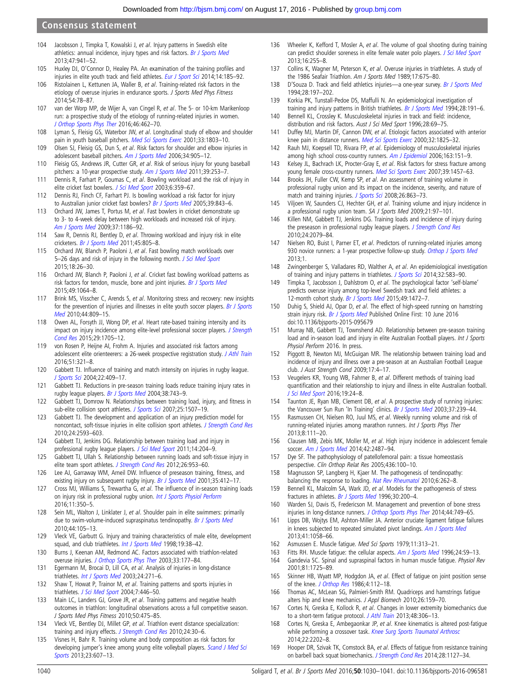- <span id="page-11-0"></span>104 Jacobsson J, Timpka T, Kowalski J, et al. Injury patterns in Swedish elite athletics: annual incidence, injury types and risk factors. [Br J Sports Med](http://dx.doi.org/10.1136/bjsports-2012-091651) 2013;47:941–52.
- 105 Huxley DJ, O'Connor D, Healey PA. An examination of the training profiles and injuries in elite youth track and field athletes. [Eur J Sport Sci](http://dx.doi.org/10.1080/17461391.2013.809153) 2014;14:185-92.
- 106 Ristolainen L, Kettunen JA, Waller B, et al. Training-related risk factors in the etiology of overuse injuries in endurance sports. J Sports Med Phys Fitness 2014;54:78–87.
- 107 van der Worp MP, de Wijer A, van Cingel R, et al. The 5- or 10-km Marikenloop run: a prospective study of the etiology of running-related injuries in women. [J Orthop Sports Phys Ther](http://dx.doi.org/10.2519/jospt.2016.6402) 2016;46:462–70.
- 108 Lyman S, Fleisig GS, Waterbor JW, et al. Longitudinal study of elbow and shoulder pain in youth baseball pitchers. [Med Sci Sports Exerc](http://dx.doi.org/10.1097/00005768-200111000-00002) 2001;33:1803-10.
- 109 Olsen SJ, Fleisig GS, Dun S, et al. Risk factors for shoulder and elbow injuries in adolescent baseball pitchers. [Am J Sports Med](http://dx.doi.org/10.1177/0363546505284188) 2006;34:905-12.
- 110 Fleisig GS, Andrews JR, Cutter GR, et al. Risk of serious injury for young baseball pitchers: a 10-year prospective study. [Am J Sports Med](http://dx.doi.org/10.1177/0363546510384224) 2011;39:253-7.
- 111 Dennis R, Farhart P, Goumas C, et al. Bowling workload and the risk of injury in elite cricket fast bowlers. [J Sci Med Sport](http://dx.doi.org/10.1016/S1440-2440(03)80031-2) 2003;6:359-67.
- 112 Dennis RJ, Finch CF, Farhart PJ. Is bowling workload a risk factor for injury to Australian junior cricket fast bowlers? [Br J Sports Med](http://dx.doi.org/10.1136/bjsm.2005.018515) 2005;39:843-6.
- 113 Orchard JW, James T, Portus M, et al. Fast bowlers in cricket demonstrate up to 3- to 4-week delay between high workloads and increased risk of injury. [Am J Sports Med](http://dx.doi.org/10.1177/0363546509332430) 2009;37:1186–92.
- 114 Saw R, Dennis RJ, Bentley D, et al. Throwing workload and injury risk in elite cricketers. [Br J Sports Med](http://dx.doi.org/10.1136/bjsm.2009.061309) 2011;45:805-8.
- 115 Orchard JW, Blanch P, Paoloni J, et al. Fast bowling match workloads over 5-26 days and risk of injury in the following month. [J Sci Med Sport](http://dx.doi.org/10.1016/j.jsams.2014.09.002) 2015;18:26–30.
- 116 Orchard JW, Blanch P, Paoloni J, et al. Cricket fast bowling workload patterns as risk factors for tendon, muscle, bone and joint injuries. [Br J Sports Med](http://dx.doi.org/10.1136/bjsports-2014-093683) 2015;49:1064–8.
- 117 Brink MS, Visscher C, Arends S, et al. Monitoring stress and recovery: new insights for the prevention of injuries and illnesses in elite youth soccer players. [Br J Sports](http://dx.doi.org/10.1136/bjsm.2009.069476) [Med](http://dx.doi.org/10.1136/bjsm.2009.069476) 2010;44:809–15.
- 118 Owen AL, Forsyth JJ, Wong DP, et al. Heart rate-based training intensity and its impact on injury incidence among elite-level professional soccer players. [J Strength](http://dx.doi.org/10.1519/JSC.0000000000000810) [Cond Res](http://dx.doi.org/10.1519/JSC.0000000000000810) 2015;29:1705–12.
- 119 von Rosen P, Heijne AI, Frohm A. Injuries and associated risk factors among adolescent elite orienteerers: a 26-week prospective registration study. [J Athl Train](http://dx.doi.org/10.4085/1062-6050-51.5.01) 2016;51:321–8.
- 120 Gabbett TJ. Influence of training and match intensity on injuries in rugby league. [J Sports Sci](http://dx.doi.org/10.1080/02640410310001641638) 2004;22:409–17.
- 121 Gabbett TJ. Reductions in pre-season training loads reduce training injury rates in rugby league players. [Br J Sports Med](http://dx.doi.org/10.1136/bjsm.2003.008391) 2004;38:743–9.
- 122 Gabbett TJ, Domrow N. Relationships between training load, injury, and fitness in sub-elite collision sport athletes. [J Sports Sci](http://dx.doi.org/10.1080/02640410701215066) 2007;25:1507-19.
- 123 Gabbett TJ. The development and application of an injury prediction model for noncontact, soft-tissue injuries in elite collision sport athletes. [J Strength Cond Res](http://dx.doi.org/10.1519/JSC.0b013e3181f19da4) 2010;24:2593–603.
- 124 Gabbett TJ, Jenkins DG. Relationship between training load and injury in professional rugby league players. [J Sci Med Sport](http://dx.doi.org/10.1016/j.jsams.2010.12.002) 2011;14:204-9.
- 125 Gabbett TJ, Ullah S. Relationship between running loads and soft-tissue injury in elite team sport athletes. [J Strength Cond Res](http://dx.doi.org/10.1519/JSC.0b013e3182302023) 2012;26:953-60.
- 126 Lee AJ, Garraway WM, Arneil DW. Influence of preseason training, fitness, and existing injury on subsequent rugby injury. [Br J Sports Med](http://dx.doi.org/10.1136/bjsm.35.6.412) 2001;35:412-17.
- 127 Cross MJ, Williams S, Trewartha G, et al. The influence of in-season training loads on injury risk in professional rugby union. [Int J Sports Physiol Perform](http://dx.doi.org/10.1123/ijspp.2015-0187) 2016;11:350–5.
- 128 Sein ML, Walton J, Linklater J, et al. Shoulder pain in elite swimmers: primarily due to swim-volume-induced supraspinatus tendinopathy. [Br J Sports Med](http://dx.doi.org/10.1136/bjsm.2008.047282) 2010;44:105–13.
- 129 Vleck VE, Garbutt G. Injury and training characteristics of male elite, development squad, and club triathletes. [Int J Sports Med](http://dx.doi.org/10.1055/s-2007-971877) 1998;19:38-42.
- 130 Burns J, Keenan AM, Redmond AC. Factors associated with triathlon-related overuse injuries. [J Orthop Sports Phys Ther](http://dx.doi.org/10.2519/jospt.2003.33.4.177) 2003;33:177–84.
- 131 Egermann M, Brocai D, Lill CA, et al. Analysis of injuries in long-distance triathletes. [Int J Sports Med](http://dx.doi.org/10.1055/s-2003-39498) 2003;24:271-6.
- 132 Shaw T, Howat P, Trainor M, et al. Training patterns and sports injuries in triathletes. [J Sci Med Sport](http://dx.doi.org/10.1016/S1440-2440(04)80262-7) 2004;7:446-50.
- 133 Main LC, Landers GJ, Grove JR, et al. Training patterns and negative health outcomes in triathlon: longitudinal observations across a full competitive season. J Sports Med Phys Fitness 2010;50:475–85.
- 134 Vleck VE, Bentley DJ, Millet GP, et al. Triathlon event distance specialization: training and injury effects. [J Strength Cond Res](http://dx.doi.org/10.1519/JSC.0b013e3181bd4cc8) 2010;24:30-6.
- 135 Visnes H, Bahr R. Training volume and body composition as risk factors for developing jumper's knee among young elite volleyball players. [Scand J Med Sci](http://dx.doi.org/10.1111/j.1600-0838.2011.01430.x) [Sports](http://dx.doi.org/10.1111/j.1600-0838.2011.01430.x) 2013;23:607–13.
- 136 Wheeler K, Kefford T, Mosler A, et al. The volume of goal shooting during training can predict shoulder soreness in elite female water polo players. [J Sci Med Sport](http://dx.doi.org/10.1016/j.jsams.2012.06.006) 2013;16:255–8.
- 137 Collins K, Wagner M, Peterson K, et al. Overuse injuries in triathletes. A study of the 1986 Seafair Triathlon. Am J Sports Med 1989;17:675–80.
- 138 D'Souza D. Track and field athletics injuries—a one-year survey. [Br J Sports Med](http://dx.doi.org/10.1136/bjsm.28.3.197) 1994;28:197–202.
- 139 Korkia PK, Tunstall-Pedoe DS, Maffulli N. An epidemiological investigation of training and injury patterns in British triathletes. [Br J Sports Med](http://dx.doi.org/10.1136/bjsm.28.3.191) 1994;28:191-6.
- 140 Bennell KL, Crossley K. Musculoskeletal injuries in track and field: incidence, distribution and risk factors. Aust J Sci Med Sport 1996;28:69-75.
- 141 Duffey MJ, Martin DF, Cannon DW, et al. Etiologic factors associated with anterior knee pain in distance runners. [Med Sci Sports Exerc](http://dx.doi.org/10.1097/00005768-200011000-00003) 2000;32:1825-32.
- 142 Rauh MJ, Koepsell TD, Rivara FP, et al. Epidemiology of musculoskeletal injuries among high school cross-country runners. Am [J Epidemiol](http://dx.doi.org/10.1093/aje/kwj022) 2006;163:151-9.
- 143 Kelsey JL, Bachrach LK, Procter-Gray E, et al. Risk factors for stress fracture among young female cross-country runners. [Med Sci Sports Exerc](http://dx.doi.org/10.1249/mss.0b013e318074e54b) 2007;39:1457-63.
- 144 Brooks JH, Fuller CW, Kemp SP, et al. An assessment of training volume in professional rugby union and its impact on the incidence, severity, and nature of match and training injuries. [J Sports Sci](http://dx.doi.org/10.1080/02640410701832209) 2008;26:863-73.
- 145 Viljoen W, Saunders CJ, Hechter GH, et al. Training volume and injury incidence in a professional rugby union team. SA J Sports Med 2009;21:97–101.
- 146 Killen NM, Gabbett TJ, Jenkins DG. Training loads and incidence of injury during the preseason in professional rugby league players. [J Strength Cond Res](http://dx.doi.org/10.1519/JSC.0b013e3181ddafff) 2010;24:2079–84.
- 147 Nielsen RO, Buist I, Parner ET, et al. Predictors of running-related injuries among 930 novice runners: a 1-year prospective follow-up study. [Orthop J Sports Med](http://dx.doi.org/10.1177/2325967113487316) 2013;1.
- 148 Zwingenberger S, Valladares RD, Walther A, et al. An epidemiological investigation of training and injury patterns in triathletes. [J Sports Sci](http://dx.doi.org/10.1080/02640414.2013.843018) 2014;32:583-90.
- 149 Timpka T, Jacobsson J, Dahlstrom O, et al. The psychological factor 'self-blame' predicts overuse injury among top-level Swedish track and field athletes: a 12-month cohort study. [Br J Sports Med](http://dx.doi.org/10.1136/bjsports-2015-094622) 2015;49:1472-7.
- 150 Duhig S, Shield AJ, Opar D, et al. The effect of high-speed running on hamstring strain injury risk. [Br J Sports Med](http://dx.doi.org/10.1136/bjsports-2015-095679) Published Online First: 10 June 2016 doi:10.1136/bjsports-2015-095679
- 151 Murray NB, Gabbett TJ, Townshend AD. Relationship between pre-season training load and in-season load and injury in elite Australian Football players. Int J Sports Physiol Perform 2016. In press.
- 152 Piggott B, Newton MJ, McGuigan MR. The relationship between training load and incidence of injury and illness over a pre-season at an Australian Football League club. J Aust Strength Cond 2009;17:4–17.
- 153 Veugelers KR, Young WB, Fahrner B, et al. Different methods of training load quantification and their relationship to injury and illness in elite Australian football. [J Sci Med Sport](http://dx.doi.org/10.1016/j.jsams.2015.01.001) 2016;19:24–8.
- 154 Taunton JE, Ryan MB, Clement DB, et al. A prospective study of running injuries: the Vancouver Sun Run 'In Training' clinics. [Br J Sports Med](http://dx.doi.org/10.1136/bjsm.37.3.239) 2003;37:239-44.
- 155 Rasmussen CH, Nielsen RO, Juul MS, et al. Weekly running volume and risk of running-related injuries among marathon runners. Int J Sports Phys Ther 2013;8:111–20.
- 156 Clausen MB, Zebis MK, Moller M, et al. High injury incidence in adolescent female soccer. [Am J Sports Med](http://dx.doi.org/10.1177/0363546514541224) 2014;42:2487-94.
- 157 Dye SF. The pathophysiology of patellofemoral pain: a tissue homeostasis perspective. Clin Orthop Relat Res 2005;436:100–10.
- 158 Magnusson SP, Langberg H, Kjaer M. The pathogenesis of tendinopathy: balancing the response to loading. [Nat Rev Rheumatol](http://dx.doi.org/10.1038/nrrheum.2010.43) 2010;6:262-8.
- 159 Bennell KL, Malcolm SA, Wark JD, et al. Models for the pathogenesis of stress fractures in athletes. [Br J Sports Med](http://dx.doi.org/10.1136/bjsm.30.3.200) 1996;30:200-4.
- 160 Warden SJ, Davis IS, Fredericson M. Management and prevention of bone stress injuries in long-distance runners. [J Orthop Sports Phys Ther](http://dx.doi.org/10.2519/jospt.2014.5334) 2014;44:749-65.
- 161 Lipps DB, Wojtys EM, Ashton-Miller JA. Anterior cruciate ligament fatigue failures in knees subjected to repeated simulated pivot landings. [Am J Sports Med](http://dx.doi.org/10.1177/0363546513477836) 2013;41:1058–66.
- 162 Asmussen E. Muscle fatigue. Med Sci Sports 1979;11:313–21.
- 163 Fitts RH. Muscle fatigue: the cellular aspects. [Am J Sports Med](http://dx.doi.org/10.1177/036354659602400103) 1996;24:S9-13.
- 164 Gandevia SC. Spinal and supraspinal factors in human muscle fatigue. Physiol Rev 2001;81:1725–89.
- 165 Skinner HB, Wyatt MP, Hodgdon JA, et al. Effect of fatigue on joint position sense of the knee. *[J Orthop Res](http://dx.doi.org/10.1002/jor.1100040115)* 1986;4:112-18.
- 166 Thomas AC, McLean SG, Palmieri-Smith RM. Quadriceps and hamstrings fatigue alters hip and knee mechanics. J Appl Biomech 2010;26:159–70.
- 167 Cortes N, Greska E, Kollock R, et al. Changes in lower extremity biomechanics due to a short-term fatigue protocol. [J Athl Train](http://dx.doi.org/10.4085/1062-6050-48.2.03) 2013;48:306-13.
- 168 Cortes N, Greska E, Ambegaonkar JP, et al. Knee kinematics is altered post-fatigue while performing a crossover task. [Knee Surg Sports Traumatol Arthrosc](http://dx.doi.org/10.1007/s00167-013-2673-y) 2014;22:2202–8.
- 169 Hooper DR, Szivak TK, Comstock BA, et al. Effects of fatigue from resistance training on barbell back squat biomechanics. [J Strength Cond Res](http://dx.doi.org/10.1097/JSC.0000000000000237) 2014;28:1127–34.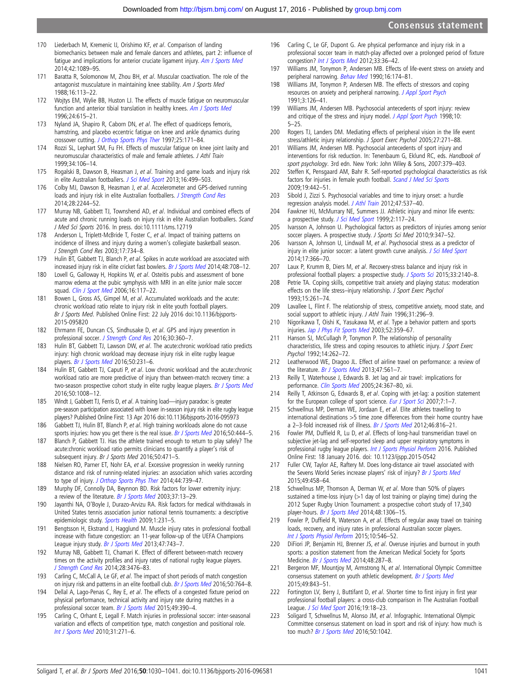- <span id="page-12-0"></span>170 Liederbach M, Kremenic IJ, Orishimo KF, et al. Comparison of landing biomechanics between male and female dancers and athletes, part 2: influence of fatique and implications for anterior cruciate ligament injury. [Am J Sports Med](http://dx.doi.org/10.1177/0363546514524525) 2014;42:1089–95.
- 171 Baratta R, Solomonow M, Zhou BH, et al. Muscular coactivation. The role of the antagonist musculature in maintaining knee stability. Am J Sports Med 1988;16:113–22.
- 172 Wojtys EM, Wylie BB, Huston LJ. The effects of muscle fatigue on neuromuscular function and anterior tibial translation in healthy knees. [Am J Sports Med](http://dx.doi.org/10.1177/036354659602400509) 1996;24:615–21.
- 173 Nyland JA, Shapiro R, Caborn DN, et al. The effect of quadriceps femoris, hamstring, and placebo eccentric fatigue on knee and ankle dynamics during crossover cutting. [J Orthop Sports Phys Ther](http://dx.doi.org/10.2519/jospt.1997.25.3.171) 1997;25:171–84.
- 174 Rozzi SL, Lephart SM, Fu FH. Effects of muscular fatigue on knee joint laxity and neuromuscular characteristics of male and female athletes. J Athl Train 1999;34:106–14.
- 175 Rogalski B, Dawson B, Heasman J, et al. Training and game loads and injury risk in elite Australian footballers. [J Sci Med Sport](http://dx.doi.org/10.1016/j.jsams.2012.12.004) 2013;16:499-503.
- 176 Colby MJ, Dawson B, Heasman J, et al. Accelerometer and GPS-derived running loads and injury risk in elite Australian footballers. [J Strength Cond Res](http://dx.doi.org/10.1519/JSC.0000000000000362) 2014;28:2244–52.
- 177 Murray NB, Gabbett TJ, Townshend AD, et al. Individual and combined effects of acute and chronic running loads on injury risk in elite Australian footballers. Scand J Med Sci Sports 2016. In press. doi:10.1111/sms.12719
- 178 Anderson L, Triplett-McBride T, Foster C, et al. Impact of training patterns on incidence of illness and injury during a women's collegiate basketball season. J Strength Cond Res 2003;17:734–8.
- 179 Hulin BT, Gabbett TJ, Blanch P, et al. Spikes in acute workload are associated with increased injury risk in elite cricket fast bowlers. [Br J Sports Med](http://dx.doi.org/10.1136/bjsports-2013-092524) 2014;48:708-12.
- 180 Lovell G, Galloway H, Hopkins W, et al. Osteitis pubis and assessment of bone marrow edema at the pubic symphysis with MRI in an elite junior male soccer squad. [Clin J Sport Med](http://dx.doi.org/10.1097/00042752-200603000-00006) 2006;16:117-22.
- 181 Bowen L, Gross AS, Gimpel M, et al. Accumulated workloads and the acute: chronic workload ratio relate to injury risk in elite youth football players. Br J Sports Med. Published Online First: 22 July 2016 doi:10.1136/bjsports-2015-095820
- 182 Ehrmann FE, Duncan CS, Sindhusake D, et al. GPS and injury prevention in professional soccer. [J Strength Cond Res](http://dx.doi.org/10.1519/JSC.0000000000001093) 2016;30:360-7.
- 183 Hulin BT, Gabbett TJ, Lawson DW, et al. The acute: chronic workload ratio predicts injury: high chronic workload may decrease injury risk in elite rugby league players. [Br J Sports Med](http://dx.doi.org/10.1136/bjsports-2015-094817) 2016;50:231–6.
- 184 Hulin BT, Gabbett TJ, Caputi P, et al. Low chronic workload and the acute: chronic workload ratio are more predictive of injury than between-match recovery time: a two-season prospective cohort study in elite rugby league players. [Br J Sports Med](http://dx.doi.org/10.1136/bjsports-2015-095364) 2016;50:1008–12.
- 185 Windt J, Gabbett TJ, Ferris D, et al. A training load—injury paradox: is greater pre-season participation associated with lower in-season injury risk in elite rugby league players? Published Online First: 13 Apr 2016 doi:10.1136/bjsports-2016-095973
- 186 Gabbett TJ, Hulin BT, Blanch P, et al. High training workloads alone do not cause sports injuries: how you get there is the real issue. [Br J Sports Med](http://dx.doi.org/10.1136/bjsports-2015-095567) 2016;50:444-5.
- 187 Blanch P, Gabbett TJ. Has the athlete trained enough to return to play safely? The acute:chronic workload ratio permits clinicians to quantify a player's risk of subsequent injury. Br J Sports Med 2016;50:471–5.
- 188 Nielsen RO, Parner ET, Nohr EA, et al. Excessive progression in weekly running distance and risk of running-related injuries: an association which varies according to type of injury. [J Orthop Sports Phys Ther](http://dx.doi.org/10.2519/jospt.2014.5164) 2014;44:739–47.
- 189 Murphy DF, Connolly DA, Beynnon BD. Risk factors for lower extremity injury: a review of the literature. [Br J Sports Med](http://dx.doi.org/10.1136/bjsm.37.1.13) 2003;37:13–29.
- 190 Jayanthi NA, O'Boyle J, Durazo-Arvizu RA. Risk factors for medical withdrawals in United States tennis association junior national tennis tournaments: a descriptive epidemiologic study. [Sports Health](http://dx.doi.org/10.1177/1941738109334274) 2009;1:231–5.
- 191 Bengtsson H, Ekstrand J, Hagglund M. Muscle injury rates in professional football increase with fixture congestion: an 11-year follow-up of the UEFA Champions League injury study. [Br J Sports Med](http://dx.doi.org/10.1136/bjsports-2013-092383) 2013;47:743-7.
- 192 Murray NB, Gabbett TJ, Chamari K. Effect of different between-match recovery times on the activity profiles and injury rates of national rugby league players. [J Strength Cond Res](http://dx.doi.org/10.1519/JSC.0000000000000603) 2014;28:3476–83.
- 193 Carling C, McCall A, Le GF, et al. The impact of short periods of match congestion on injury risk and patterns in an elite football club. [Br J Sports Med](http://dx.doi.org/10.1136/bjsports-2015-095501) 2016;50:764-8.
- 194 Dellal A, Lago-Penas C, Rey E, et al. The effects of a congested fixture period on physical performance, technical activity and injury rate during matches in a professional soccer team. [Br J Sports Med](http://dx.doi.org/10.1136/bjsports-2012-091290) 2015;49:390-4.
- 195 Carling C, Orhant E, Legall F. Match injuries in professional soccer: inter-seasonal variation and effects of competition type, match congestion and positional role. [Int J Sports Med](http://dx.doi.org/10.1055/s-0029-1243646) 2010;31:271–6.
- 196 Carling C, Le GF, Dupont G. Are physical performance and injury risk in a professional soccer team in match-play affected over a prolonged period of fixture congestion? [Int J Sports Med](http://dx.doi.org/10.1055/s-0031-1283190) 2012;33:36-42.
- 197 Williams JM, Tonymon P, Andersen MB. Effects of life-event stress on anxiety and peripheral narrowing. [Behav Med](http://dx.doi.org/10.1080/08964289.1990.9934606) 1990;16:174-81.
- 198 Williams JM, Tonymon P, Andersen MB. The effects of stressors and coping resources on anxiety and peripheral narrowing. [J Appl Sport Psych](http://dx.doi.org/10.1080/10413209108406439) 1991;3:126–41.
- 199 Williams JM, Andersen MB. Psychosocial antecedents of sport injury: review and critique of the stress and injury model. [J Appl Sport Psych](http://dx.doi.org/10.1080/10413209808406375) 1998;10: 5–25.
- 200 Rogers TJ, Landers DM. Mediating effects of peripheral vision in the life event stress/athletic injury relationship. J Sport Exerc Psychol 2005;27:271–88.
- 201 Williams JM, Andersen MB. Psychosocial antecedents of sport injury and interventions for risk reduction. In: Tenenbaum G, Eklund RC, eds. Handbook of sport psychology. 3rd edn. New York: John Wiley & Sons, 2007:379–403.
- 202 Steffen K, Pensgaard AM, Bahr R. Self-reported psychological characteristics as risk factors for injuries in female youth football. [Scand J Med Sci Sports](http://dx.doi.org/10.1111/j.1600-0838.2008.00797.x) 2009;19:442–51.
- 203 Sibold J, Zizzi S. Psychosocial variables and time to injury onset: a hurdle regression analysis model. [J Athl Train](http://dx.doi.org/10.4085/1062-6050-47.3.15) 2012;47:537-40.
- 204 Fawkner HJ, McMurrary NE, Summers JJ. Athletic injury and minor life events: a prospective study. [J Sci Med Sport](http://dx.doi.org/10.1016/S1440-2440(99)80191-1) 1999;2:117-24.
- 205 Ivarsson A, Johnson U. Psychological factors as predictors of injuries among senior soccer players. A prospective study. J Sports Sci Med 2010;9:347–52.
- 206 Ivarsson A, Johnson U, Lindwall M, et al. Psychosocial stress as a predictor of injury in elite junior soccer: a latent growth curve analysis. [J Sci Med Sport](http://dx.doi.org/10.1016/j.jsams.2013.10.242) 2014;17:366–70.
- 207 Laux P, Krumm B, Diers M, et al. Recovery-stress balance and injury risk in professional football players: a prospective study. [J Sports Sci](http://dx.doi.org/10.1080/02640414.2015.1064538) 2015;33:2140-8.
- 208 Petrie TA. Coping skills, competitive trait anxiety and playing status: moderation effects on the life stress-injury relationship. J Sport Exerc Psychol 1993;15:261–74.
- 209 Lavallee L, Flint F. The relationship of stress, competitive anxiety, mood state, and social support to athletic injury. J Athl Train 1996;31:296-9.
- 210 Nigorikawa T, Oishi K, Yasukawa M, et al. Type a behavior pattern and sports injuries. [Jap J Phys Fit Sports Med](http://dx.doi.org/10.7600/jspfsm1949.52.359) 2003;52:359-67.
- 211 Hanson SJ, McCullagh P, Tonymon P. The relationship of personality characteristics, life stress and coping resources to athletic injury. J Sport Exerc Psychol 1992;14:262–72.
- 212 Leatherwood WE, Dragoo JL. Effect of airline travel on performance: a review of the literature. [Br J Sports Med](http://dx.doi.org/10.1136/bjsports-2012-091449) 2013;47:561-7.
- 213 Reilly T, Waterhouse J, Edwards B. Jet lag and air travel: implications for performance. [Clin Sports Med](http://dx.doi.org/10.1016/j.csm.2004.12.004) 2005;24:367-80, xii.
- 214 Reilly T, Atkinson G, Edwards B, et al. Coping with jet-lag: a position statement for the European college of sport science. [Eur J Sport Sci](http://dx.doi.org/10.1080/17461390701216823) 2007;7:1-7.
- 215 Schwellnus MP, Derman WE, Jordaan E, et al. Elite athletes travelling to international destinations >5 time zone differences from their home country have a 2-3-fold increased risk of illness. [Br J Sports Med](http://dx.doi.org/10.1136/bjsports-2012-091395) 2012;46:816-21.
- 216 Fowler PM, Duffield R, Lu D, et al. Effects of long-haul transmeridian travel on subjective jet-lag and self-reported sleep and upper respiratory symptoms in professional rugby league players. [Int J Sports Physiol Perform](http://dx.doi.org/10.1123/ijspp.2015-0542) 2016. Published Online First: 18 January 2016. doi: 10.1123/ijspp.2015-0542
- 217 Fuller CW, Taylor AE, Raftery M. Does long-distance air travel associated with the Sevens World Series increase players' risk of injury? [Br J Sports Med](http://dx.doi.org/10.1136/bjsports-2014-094369) 2015;49:458–64.
- 218 Schwellnus MP, Thomson A, Derman W, et al. More than 50% of players sustained a time-loss injury (>1 day of lost training or playing time) during the 2012 Super Rugby Union Tournament: a prospective cohort study of 17,340 player-hours. [Br J Sports Med](http://dx.doi.org/10.1136/bjsports-2014-093745) 2014;48:1306–15.
- 219 Fowler P, Duffield R, Waterson A, et al. Effects of regular away travel on training loads, recovery, and injury rates in professional Australian soccer players. [Int J Sports Physiol Perform](http://dx.doi.org/10.1123/ijspp.2014-0266) 2015;10:546-52.
- 220 DiFiori JP, Benjamin HJ, Brenner JS, et al. Overuse injuries and burnout in youth sports: a position statement from the American Medical Society for Sports Medicine. [Br J Sports Med](http://dx.doi.org/10.1136/bjsports-2013-093299) 2014;48:287–8.
- 221 Bergeron MF, Mountjoy M, Armstrong N, et al. International Olympic Committee consensus statement on youth athletic development. [Br J Sports Med](http://dx.doi.org/10.1136/bjsports-2015-094962) 2015;49:843–51.
- 222 Fortington LV, Berry J, Buttifant D, et al. Shorter time to first injury in first year professional football players: a cross-club comparison in The Australian Football League. [J Sci Med Sport](http://dx.doi.org/10.1016/j.jsams.2014.12.008) 2016;19:18-23.
- 223 Soligard T, Schwellnus M, Alonso JM, et al. Infographic. International Olympic Committee consensus statement on load in sport and risk of injury: how much is too much? [Br J Sports Med](http://dx.doi.org/10.1016/j.jsams.2014.12.008) 2016;50:1042.